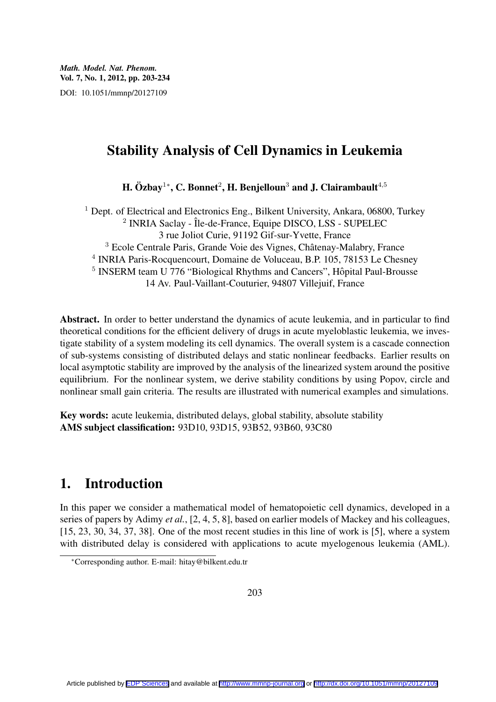# Stability Analysis of Cell Dynamics in Leukemia

H. Özbay<sup>1</sup>\*, C. Bonnet<sup>2</sup>, H. Benjelloun<sup>3</sup> and J. Clairambault<sup>4,5</sup>

<sup>1</sup> Dept. of Electrical and Electronics Eng., Bilkent University, Ankara, 06800, Turkey <sup>2</sup> INRIA Saclay - Île-de-France, Equipe DISCO, LSS - SUPELEC 3 rue Joliot Curie, 91192 Gif-sur-Yvette, France <sup>3</sup> Ecole Centrale Paris, Grande Voie des Vignes, Châtenay-Malabry, France 4 INRIA Paris-Rocquencourt, Domaine de Voluceau, B.P. 105, 78153 Le Chesney <sup>5</sup> INSERM team U 776 "Biological Rhythms and Cancers", Hôpital Paul-Brousse 14 Av. Paul-Vaillant-Couturier, 94807 Villejuif, France

Abstract. In order to better understand the dynamics of acute leukemia, and in particular to find theoretical conditions for the efficient delivery of drugs in acute myeloblastic leukemia, we investigate stability of a system modeling its cell dynamics. The overall system is a cascade connection of sub-systems consisting of distributed delays and static nonlinear feedbacks. Earlier results on local asymptotic stability are improved by the analysis of the linearized system around the positive equilibrium. For the nonlinear system, we derive stability conditions by using Popov, circle and nonlinear small gain criteria. The results are illustrated with numerical examples and simulations.

Key words: acute leukemia, distributed delays, global stability, absolute stability AMS subject classification: 93D10, 93D15, 93B52, 93B60, 93C80

# 1. Introduction

In this paper we consider a mathematical model of hematopoietic cell dynamics, developed in a series of papers by Adimy *et al.*, [2, 4, 5, 8], based on earlier models of Mackey and his colleagues, [15, 23, 30, 34, 37, 38]. One of the most recent studies in this line of work is [5], where a system with distributed delay is considered with applications to acute myelogenous leukemia (AML).

203

*<sup>∗</sup>*Corresponding author. E-mail: hitay@bilkent.edu.tr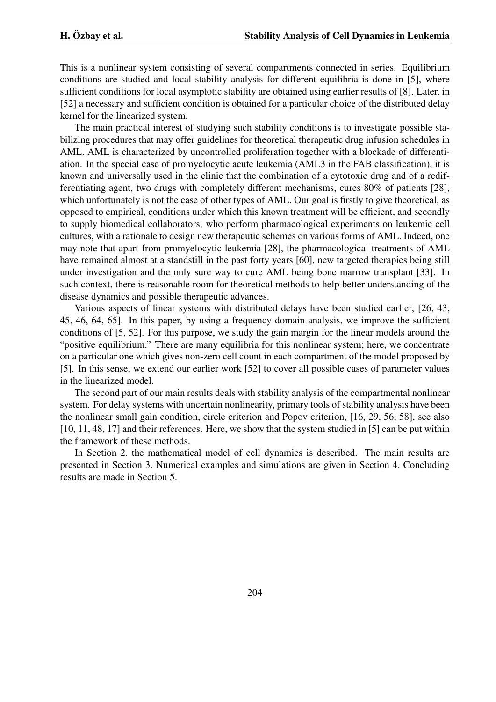This is a nonlinear system consisting of several compartments connected in series. Equilibrium conditions are studied and local stability analysis for different equilibria is done in [5], where sufficient conditions for local asymptotic stability are obtained using earlier results of [8]. Later, in [52] a necessary and sufficient condition is obtained for a particular choice of the distributed delay kernel for the linearized system.

The main practical interest of studying such stability conditions is to investigate possible stabilizing procedures that may offer guidelines for theoretical therapeutic drug infusion schedules in AML. AML is characterized by uncontrolled proliferation together with a blockade of differentiation. In the special case of promyelocytic acute leukemia (AML3 in the FAB classification), it is known and universally used in the clinic that the combination of a cytotoxic drug and of a redifferentiating agent, two drugs with completely different mechanisms, cures 80% of patients [28], which unfortunately is not the case of other types of AML. Our goal is firstly to give theoretical, as opposed to empirical, conditions under which this known treatment will be efficient, and secondly to supply biomedical collaborators, who perform pharmacological experiments on leukemic cell cultures, with a rationale to design new therapeutic schemes on various forms of AML. Indeed, one may note that apart from promyelocytic leukemia [28], the pharmacological treatments of AML have remained almost at a standstill in the past forty years [60], new targeted therapies being still under investigation and the only sure way to cure AML being bone marrow transplant [33]. In such context, there is reasonable room for theoretical methods to help better understanding of the disease dynamics and possible therapeutic advances.

Various aspects of linear systems with distributed delays have been studied earlier, [26, 43, 45, 46, 64, 65]. In this paper, by using a frequency domain analysis, we improve the sufficient conditions of [5, 52]. For this purpose, we study the gain margin for the linear models around the "positive equilibrium." There are many equilibria for this nonlinear system; here, we concentrate on a particular one which gives non-zero cell count in each compartment of the model proposed by [5]. In this sense, we extend our earlier work [52] to cover all possible cases of parameter values in the linearized model.

The second part of our main results deals with stability analysis of the compartmental nonlinear system. For delay systems with uncertain nonlinearity, primary tools of stability analysis have been the nonlinear small gain condition, circle criterion and Popov criterion, [16, 29, 56, 58], see also [10, 11, 48, 17] and their references. Here, we show that the system studied in [5] can be put within the framework of these methods.

In Section 2. the mathematical model of cell dynamics is described. The main results are presented in Section 3. Numerical examples and simulations are given in Section 4. Concluding results are made in Section 5.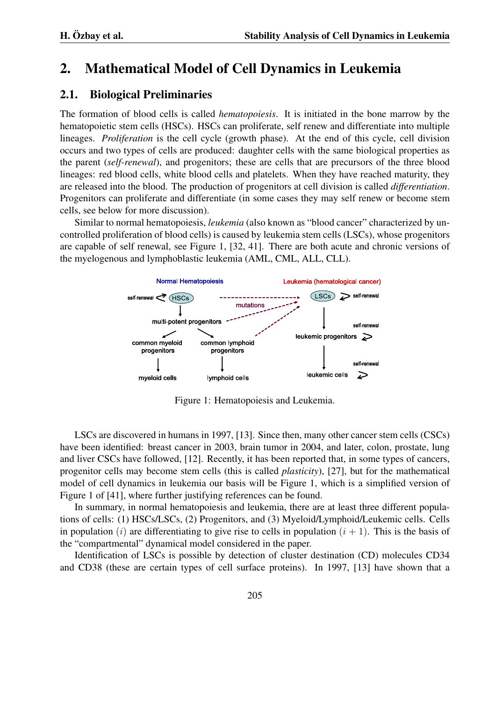## 2. Mathematical Model of Cell Dynamics in Leukemia

### 2.1. Biological Preliminaries

The formation of blood cells is called *hematopoiesis*. It is initiated in the bone marrow by the hematopoietic stem cells (HSCs). HSCs can proliferate, self renew and differentiate into multiple lineages. *Proliferation* is the cell cycle (growth phase). At the end of this cycle, cell division occurs and two types of cells are produced: daughter cells with the same biological properties as the parent (*self-renewal*), and progenitors; these are cells that are precursors of the three blood lineages: red blood cells, white blood cells and platelets. When they have reached maturity, they are released into the blood. The production of progenitors at cell division is called *differentiation*. Progenitors can proliferate and differentiate (in some cases they may self renew or become stem cells, see below for more discussion).

Similar to normal hematopoiesis, *leukemia* (also known as "blood cancer" characterized by uncontrolled proliferation of blood cells) is caused by leukemia stem cells (LSCs), whose progenitors are capable of self renewal, see Figure 1, [32, 41]. There are both acute and chronic versions of the myelogenous and lymphoblastic leukemia (AML, CML, ALL, CLL).



Figure 1: Hematopoiesis and Leukemia.

LSCs are discovered in humans in 1997, [13]. Since then, many other cancer stem cells (CSCs) have been identified: breast cancer in 2003, brain tumor in 2004, and later, colon, prostate, lung and liver CSCs have followed, [12]. Recently, it has been reported that, in some types of cancers, progenitor cells may become stem cells (this is called *plasticity*), [27], but for the mathematical model of cell dynamics in leukemia our basis will be Figure 1, which is a simplified version of Figure 1 of [41], where further justifying references can be found.

In summary, in normal hematopoiesis and leukemia, there are at least three different populations of cells: (1) HSCs/LSCs, (2) Progenitors, and (3) Myeloid/Lymphoid/Leukemic cells. Cells in population (*i*) are differentiating to give rise to cells in population  $(i + 1)$ . This is the basis of the "compartmental" dynamical model considered in the paper.

Identification of LSCs is possible by detection of cluster destination (CD) molecules CD34 and CD38 (these are certain types of cell surface proteins). In 1997, [13] have shown that a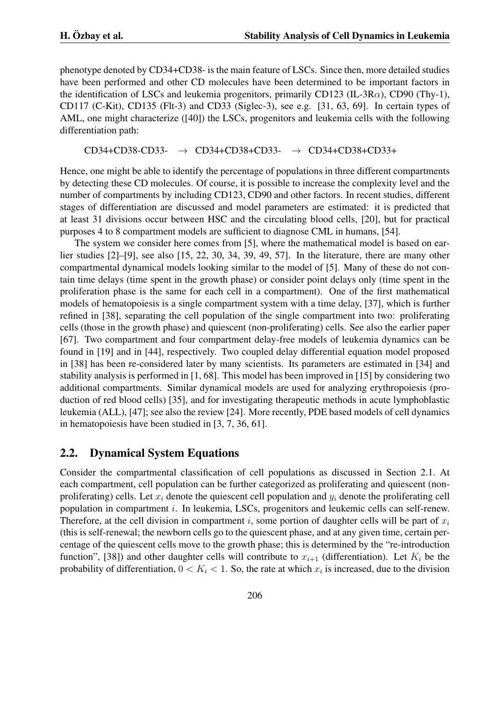phenotype denoted by CD34+CD38- is the main feature of LSCs. Since then, more detailed studies have been performed and other CD molecules have been determined to be important factors in the identification of LSCs and leukemia progenitors, primarily CD123 (IL-3R*α*), CD90 (Thy-1), CD117 (C-Kit), CD135 (Flt-3) and CD33 (Siglec-3), see e.g. [31, 63, 69]. In certain types of AML, one might characterize ([40]) the LSCs, progenitors and leukemia cells with the following differentiation path:

CD34+CD38-CD33- *→* CD34+CD38+CD33- *→* CD34+CD38+CD33+

Hence, one might be able to identify the percentage of populations in three different compartments by detecting these CD molecules. Of course, it is possible to increase the complexity level and the number of compartments by including CD123, CD90 and other factors. In recent studies, different stages of differentiation are discussed and model parameters are estimated: it is predicted that at least 31 divisions occur between HSC and the circulating blood cells, [20], but for practical purposes 4 to 8 compartment models are sufficient to diagnose CML in humans, [54].

The system we consider here comes from [5], where the mathematical model is based on earlier studies [2]–[9], see also [15, 22, 30, 34, 39, 49, 57]. In the literature, there are many other compartmental dynamical models looking similar to the model of [5]. Many of these do not contain time delays (time spent in the growth phase) or consider point delays only (time spent in the proliferation phase is the same for each cell in a compartment). One of the first mathematical models of hematopoiesis is a single compartment system with a time delay, [37], which is further refined in [38], separating the cell population of the single compartment into two: proliferating cells (those in the growth phase) and quiescent (non-proliferating) cells. See also the earlier paper [67]. Two compartment and four compartment delay-free models of leukemia dynamics can be found in [19] and in [44], respectively. Two coupled delay differential equation model proposed in [38] has been re-considered later by many scientists. Its parameters are estimated in [34] and stability analysis is performed in [1, 68]. This model has been improved in [15] by considering two additional compartments. Similar dynamical models are used for analyzing erythropoiesis (production of red blood cells) [35], and for investigating therapeutic methods in acute lymphoblastic leukemia (ALL), [47]; see also the review [24]. More recently, PDE based models of cell dynamics in hematopoiesis have been studied in [3, 7, 36, 61].

### 2.2. Dynamical System Equations

Consider the compartmental classification of cell populations as discussed in Section 2.1. At each compartment, cell population can be further categorized as proliferating and quiescent (nonproliferating) cells. Let *x<sup>i</sup>* denote the quiescent cell population and *y<sup>i</sup>* denote the proliferating cell population in compartment *i*. In leukemia, LSCs, progenitors and leukemic cells can self-renew. Therefore, at the cell division in compartment *i*, some portion of daughter cells will be part of *x<sup>i</sup>* (this is self-renewal; the newborn cells go to the quiescent phase, and at any given time, certain percentage of the quiescent cells move to the growth phase; this is determined by the "re-introduction function", [38]) and other daughter cells will contribute to  $x_{i+1}$  (differentiation). Let  $K_i$  be the probability of differentiation,  $0 < K_i < 1$ . So, the rate at which  $x_i$  is increased, due to the division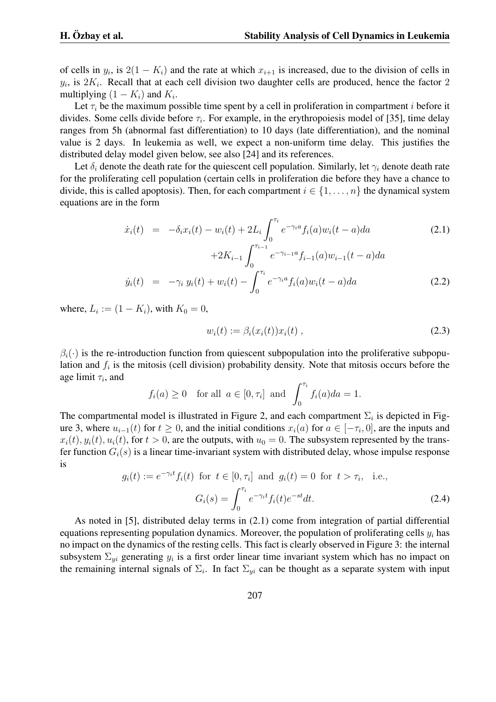of cells in  $y_i$ , is  $2(1 - K_i)$  and the rate at which  $x_{i+1}$  is increased, due to the division of cells in  $y_i$ , is  $2K_i$ . Recall that at each cell division two daughter cells are produced, hence the factor 2 multiplying  $(1 - K_i)$  and  $K_i$ .

Let  $\tau_i$  be the maximum possible time spent by a cell in proliferation in compartment *i* before it divides. Some cells divide before  $\tau_i$ . For example, in the erythropoiesis model of [35], time delay ranges from 5h (abnormal fast differentiation) to 10 days (late differentiation), and the nominal value is 2 days. In leukemia as well, we expect a non-uniform time delay. This justifies the distributed delay model given below, see also [24] and its references.

Let  $\delta_i$  denote the death rate for the quiescent cell population. Similarly, let  $\gamma_i$  denote death rate for the proliferating cell population (certain cells in proliferation die before they have a chance to divide, this is called apoptosis). Then, for each compartment  $i \in \{1, \ldots, n\}$  the dynamical system equations are in the form

$$
\dot{x}_i(t) = -\delta_i x_i(t) - w_i(t) + 2L_i \int_0^{\tau_i} e^{-\gamma_i a} f_i(a) w_i(t - a) da \tag{2.1}
$$

$$
+2K_{i-1} \int_0^{\infty} e^{-\gamma_{i-1}a} f_{i-1}(a) w_{i-1}(t-a) da
$$
  

$$
\dot{y}_i(t) = -\gamma_i y_i(t) + w_i(t) - \int_0^{\tau_i} e^{-\gamma_i a} f_i(a) w_i(t-a) da
$$
 (2.2)

where,  $L_i := (1 - K_i)$ , with  $K_0 = 0$ ,

$$
w_i(t) := \beta_i(x_i(t))x_i(t) , \qquad (2.3)
$$

 $\beta_i(\cdot)$  is the re-introduction function from quiescent subpopulation into the proliferative subpopulation and  $f_i$  is the mitosis (cell division) probability density. Note that mitosis occurs before the age limit *τ<sup>i</sup>* , and

$$
f_i(a) \ge 0
$$
 for all  $a \in [0, \tau_i]$  and  $\int_0^{\tau_i} f_i(a)da = 1$ .

The compartmental model is illustrated in Figure 2, and each compartment  $\Sigma_i$  is depicted in Figure 3, where  $u_{i-1}(t)$  for  $t \ge 0$ , and the initial conditions  $x_i(a)$  for  $a \in [-\tau_i, 0]$ , are the inputs and  $x_i(t)$ ,  $y_i(t)$ ,  $u_i(t)$ , for  $t > 0$ , are the outputs, with  $u_0 = 0$ . The subsystem represented by the transfer function  $G_i(s)$  is a linear time-invariant system with distributed delay, whose impulse response is

$$
g_i(t) := e^{-\gamma_i t} f_i(t) \text{ for } t \in [0, \tau_i] \text{ and } g_i(t) = 0 \text{ for } t > \tau_i, \text{ i.e.,}
$$

$$
G_i(s) = \int_0^{\tau_i} e^{-\gamma_i t} f_i(t) e^{-st} dt.
$$
(2.4)

As noted in [5], distributed delay terms in (2.1) come from integration of partial differential equations representing population dynamics. Moreover, the population of proliferating cells *y<sup>i</sup>* has no impact on the dynamics of the resting cells. This fact is clearly observed in Figure 3: the internal subsystem  $\Sigma_{yi}$  generating  $y_i$  is a first order linear time invariant system which has no impact on the remaining internal signals of  $\Sigma_i$ . In fact  $\Sigma_{yi}$  can be thought as a separate system with input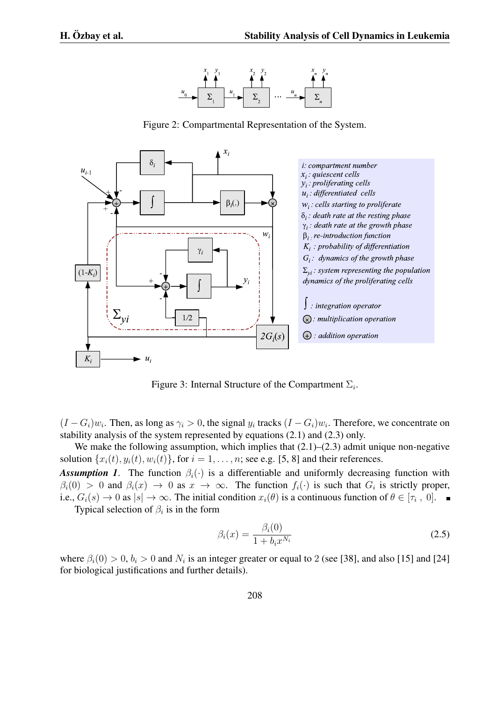

Figure 2: Compartmental Representation of the System.



Figure 3: Internal Structure of the Compartment  $\Sigma_i$ .

 $(I - G_i)w_i$ . Then, as long as  $\gamma_i > 0$ , the signal  $y_i$  tracks  $(I - G_i)w_i$ . Therefore, we concentrate on stability analysis of the system represented by equations (2.1) and (2.3) only.

We make the following assumption, which implies that  $(2.1)$ – $(2.3)$  admit unique non-negative solution  $\{x_i(t), y_i(t), w_i(t)\}$ , for  $i = 1, \ldots, n$ ; see e.g. [5, 8] and their references.

*Assumption 1.* The function  $\beta_i(\cdot)$  is a differentiable and uniformly decreasing function with  $\beta_i(0) > 0$  and  $\beta_i(x) \to 0$  as  $x \to \infty$ . The function  $f_i(\cdot)$  is such that  $G_i$  is strictly proper, i.e.,  $G_i(s) \to 0$  as  $|s| \to \infty$ . The initial condition  $x_i(\theta)$  is a continuous function of  $\theta \in [\tau_i, 0]$ . Typical selection of  $\beta_i$  is in the form

$$
\beta_i(x) = \frac{\beta_i(0)}{1 + b_i x^{N_i}}\tag{2.5}
$$

where  $\beta_i(0) > 0$ ,  $b_i > 0$  and  $N_i$  is an integer greater or equal to 2 (see [38], and also [15] and [24] for biological justifications and further details).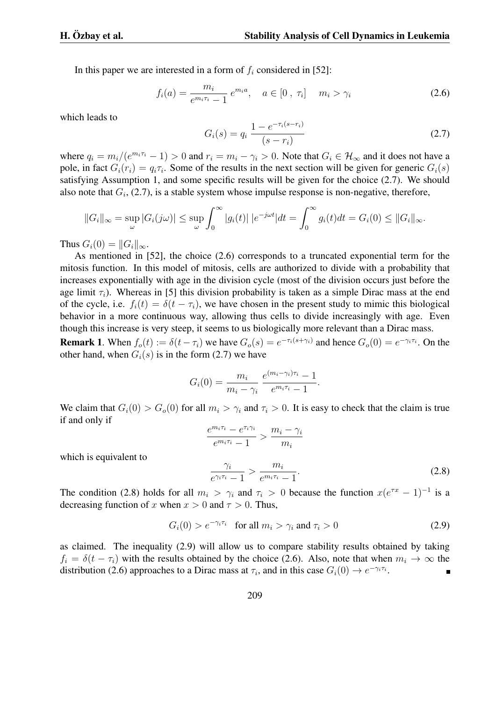In this paper we are interested in a form of  $f_i$  considered in [52]:

$$
f_i(a) = \frac{m_i}{e^{m_i \tau_i} - 1} e^{m_i a}, \quad a \in [0, \tau_i] \quad m_i > \gamma_i
$$
 (2.6)

which leads to

$$
G_i(s) = q_i \frac{1 - e^{-\tau_i(s - r_i)}}{(s - r_i)}
$$
\n(2.7)

where  $q_i = m_i/(e^{m_i \tau_i} - 1) > 0$  and  $r_i = m_i - \gamma_i > 0$ . Note that  $G_i \in \mathcal{H}_{\infty}$  and it does not have a pole, in fact  $G_i(r_i) = q_i \tau_i$ . Some of the results in the next section will be given for generic  $G_i(s)$ satisfying Assumption 1, and some specific results will be given for the choice (2.7). We should also note that  $G_i$ ,  $(2.7)$ , is a stable system whose impulse response is non-negative, therefore,

$$
||G_i||_{\infty} = \sup_{\omega} |G_i(j\omega)| \le \sup_{\omega} \int_0^{\infty} |g_i(t)| |e^{-j\omega t}| dt = \int_0^{\infty} g_i(t) dt = G_i(0) \le ||G_i||_{\infty}.
$$

Thus  $G_i(0) = ||G_i||_{\infty}$ .

As mentioned in [52], the choice (2.6) corresponds to a truncated exponential term for the mitosis function. In this model of mitosis, cells are authorized to divide with a probability that increases exponentially with age in the division cycle (most of the division occurs just before the age limit  $\tau_i$ ). Whereas in [5] this division probability is taken as a simple Dirac mass at the end of the cycle, i.e.  $f_i(t) = \delta(t - \tau_i)$ , we have chosen in the present study to mimic this biological behavior in a more continuous way, allowing thus cells to divide increasingly with age. Even though this increase is very steep, it seems to us biologically more relevant than a Dirac mass.

**Remark 1.** When  $f_o(t) := \delta(t - \tau_i)$  we have  $G_o(s) = e^{-\tau_i(s + \gamma_i)}$  and hence  $G_o(0) = e^{-\gamma_i \tau_i}$ . On the other hand, when  $G_i(s)$  is in the form (2.7) we have

$$
G_i(0) = \frac{m_i}{m_i - \gamma_i} \frac{e^{(m_i - \gamma_i)\tau_i} - 1}{e^{m_i \tau_i} - 1}.
$$

We claim that  $G_i(0) > G_o(0)$  for all  $m_i > \gamma_i$  and  $\tau_i > 0$ . It is easy to check that the claim is true if and only if

$$
\frac{e^{m_i \tau_i} - e^{\tau_i \gamma_i}}{e^{m_i \tau_i} - 1} > \frac{m_i - \gamma_i}{m_i}
$$
\n
$$
\frac{\gamma_i}{e^{\gamma_i \tau_i} - 1} > \frac{m_i}{e^{m_i \tau_i} - 1}.
$$
\n(2.8)

which is equivalent to

The condition (2.8) holds for all  $m_i > \gamma_i$  and  $\tau_i > 0$  because the function  $x(e^{\tau x} - 1)^{-1}$  is a decreasing function of *x* when  $x > 0$  and  $\tau > 0$ . Thus,

$$
G_i(0) > e^{-\gamma_i \tau_i} \quad \text{for all } m_i > \gamma_i \text{ and } \tau_i > 0 \tag{2.9}
$$

as claimed. The inequality (2.9) will allow us to compare stability results obtained by taking  $f_i = \delta(t - \tau_i)$  with the results obtained by the choice (2.6). Also, note that when  $m_i \to \infty$  the distribution (2.6) approaches to a Dirac mass at  $\tau_i$ , and in this case  $G_i(0) \to e^{-\gamma_i \tau_i}$ .  $\blacksquare$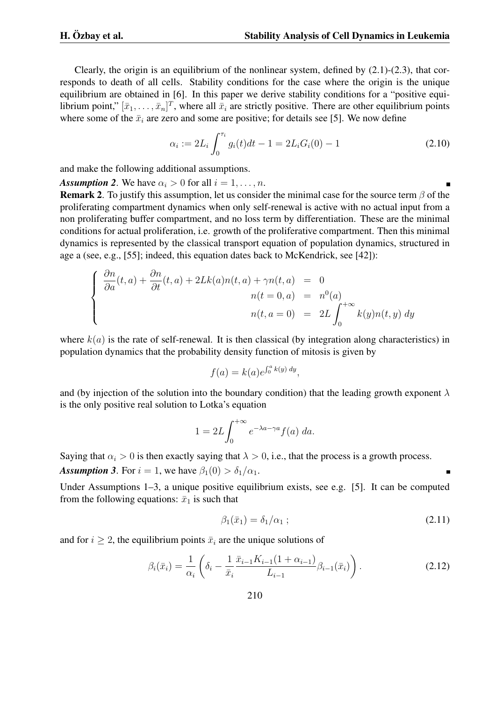Clearly, the origin is an equilibrium of the nonlinear system, defined by (2.1)-(2.3), that corresponds to death of all cells. Stability conditions for the case where the origin is the unique equilibrium are obtained in [6]. In this paper we derive stability conditions for a "positive equilibrium point,"  $[\bar{x}_1, \ldots, \bar{x}_n]^T$ , where all  $\bar{x}_i$  are strictly positive. There are other equilibrium points where some of the  $\bar{x}_i$  are zero and some are positive; for details see [5]. We now define

$$
\alpha_i := 2L_i \int_0^{\tau_i} g_i(t)dt - 1 = 2L_i G_i(0) - 1 \tag{2.10}
$$

and make the following additional assumptions.

*Assumption 2.* We have  $\alpha_i > 0$  for all  $i = 1, \ldots, n$ .

Remark 2. To justify this assumption, let us consider the minimal case for the source term *β* of the proliferating compartment dynamics when only self-renewal is active with no actual input from a non proliferating buffer compartment, and no loss term by differentiation. These are the minimal conditions for actual proliferation, i.e. growth of the proliferative compartment. Then this minimal dynamics is represented by the classical transport equation of population dynamics, structured in age a (see, e.g., [55]; indeed, this equation dates back to McKendrick, see [42]):

$$
\begin{cases}\n\frac{\partial n}{\partial a}(t,a) + \frac{\partial n}{\partial t}(t,a) + 2Lk(a)n(t,a) + \gamma n(t,a) & = 0 \\
n(t = 0, a) & = n^0(a) \\
n(t,a = 0) & = 2L \int_0^{+\infty} k(y)n(t,y) dy\n\end{cases}
$$

where  $k(a)$  is the rate of self-renewal. It is then classical (by integration along characteristics) in population dynamics that the probability density function of mitosis is given by

$$
f(a) = k(a)e^{\int_0^a k(y) dy},
$$

and (by injection of the solution into the boundary condition) that the leading growth exponent *λ* is the only positive real solution to Lotka's equation

$$
1 = 2L \int_0^{+\infty} e^{-\lambda a - \gamma a} f(a) \, da.
$$

Saying that  $\alpha_i > 0$  is then exactly saying that  $\lambda > 0$ , i.e., that the process is a growth process. *Assumption 3.* For  $i = 1$ , we have  $\beta_1(0) > \delta_1/\alpha_1$ .

Under Assumptions 1–3, a unique positive equilibrium exists, see e.g. [5]. It can be computed from the following equations:  $\bar{x}_1$  is such that

$$
\beta_1(\bar{x}_1) = \delta_1/\alpha_1 ; \qquad (2.11)
$$

and for  $i \geq 2$ , the equilibrium points  $\bar{x}_i$  are the unique solutions of

$$
\beta_i(\bar{x}_i) = \frac{1}{\alpha_i} \left( \delta_i - \frac{1}{\bar{x}_i} \frac{\bar{x}_{i-1} K_{i-1} (1 + \alpha_{i-1})}{L_{i-1}} \beta_{i-1}(\bar{x}_i) \right).
$$
 (2.12)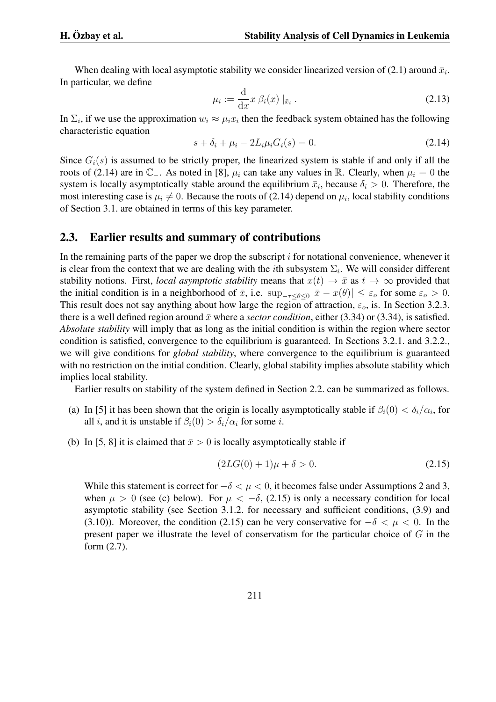When dealing with local asymptotic stability we consider linearized version of  $(2.1)$  around  $\bar{x}_i$ . In particular, we define

$$
\mu_i := \frac{\mathrm{d}}{\mathrm{d}x} x \,\beta_i(x) \, |_{\bar{x}_i} \,. \tag{2.13}
$$

In  $\Sigma_i$ , if we use the approximation  $w_i \approx \mu_i x_i$  then the feedback system obtained has the following characteristic equation

$$
s + \delta_i + \mu_i - 2L_i \mu_i G_i(s) = 0.
$$
 (2.14)

Since  $G_i(s)$  is assumed to be strictly proper, the linearized system is stable if and only if all the roots of (2.14) are in  $\mathbb{C}_-$ . As noted in [8],  $\mu_i$  can take any values in R. Clearly, when  $\mu_i = 0$  the system is locally asymptotically stable around the equilibrium  $\bar{x}_i$ , because  $\delta_i > 0$ . Therefore, the most interesting case is  $\mu_i \neq 0$ . Because the roots of (2.14) depend on  $\mu_i$ , local stability conditions of Section 3.1. are obtained in terms of this key parameter.

#### 2.3. Earlier results and summary of contributions

In the remaining parts of the paper we drop the subscript *i* for notational convenience, whenever it is clear from the context that we are dealing with the *i*th subsystem  $\Sigma_i$ . We will consider different stability notions. First, *local asymptotic stability* means that  $x(t) \to \bar{x}$  as  $t \to \infty$  provided that the initial condition is in a neighborhood of  $\bar{x}$ , i.e.  $\sup_{-\tau \leq \theta \leq 0} |\bar{x} - x(\theta)| \leq \varepsilon_o$  for some  $\varepsilon_o > 0$ . This result does not say anything about how large the region of attraction,  $\varepsilon_o$ , is. In Section 3.2.3. there is a well defined region around  $\bar{x}$  where a *sector condition*, either (3.34) or (3.34), is satisfied. *Absolute stability* will imply that as long as the initial condition is within the region where sector condition is satisfied, convergence to the equilibrium is guaranteed. In Sections 3.2.1. and 3.2.2., we will give conditions for *global stability*, where convergence to the equilibrium is guaranteed with no restriction on the initial condition. Clearly, global stability implies absolute stability which implies local stability.

Earlier results on stability of the system defined in Section 2.2. can be summarized as follows.

- (a) In [5] it has been shown that the origin is locally asymptotically stable if  $\beta_i(0) < \delta_i/\alpha_i$ , for all *i*, and it is unstable if  $\beta_i(0) > \delta_i/\alpha_i$  for some *i*.
- (b) In [5, 8] it is claimed that  $\bar{x} > 0$  is locally asymptotically stable if

$$
(2LG(0) + 1)\mu + \delta > 0. \tag{2.15}
$$

While this statement is correct for  $-\delta < \mu < 0$ , it becomes false under Assumptions 2 and 3, when  $\mu > 0$  (see (c) below). For  $\mu < -\delta$ , (2.15) is only a necessary condition for local asymptotic stability (see Section 3.1.2. for necessary and sufficient conditions, (3.9) and (3.10)). Moreover, the condition (2.15) can be very conservative for *−δ < µ <* 0. In the present paper we illustrate the level of conservatism for the particular choice of *G* in the form (2.7).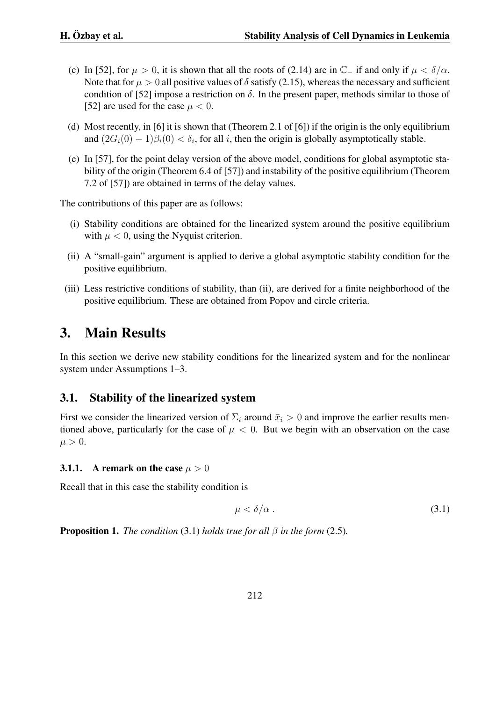- (c) In [52], for  $\mu > 0$ , it is shown that all the roots of (2.14) are in  $\mathbb{C}$ <sup>*−*</sup> if and only if  $\mu < \delta/\alpha$ . Note that for  $\mu > 0$  all positive values of  $\delta$  satisfy (2.15), whereas the necessary and sufficient condition of [52] impose a restriction on  $\delta$ . In the present paper, methods similar to those of [52] are used for the case  $\mu < 0$ .
- (d) Most recently, in [6] it is shown that (Theorem 2.1 of [6]) if the origin is the only equilibrium and  $(2G_i(0) - 1)\beta_i(0) < \delta_i$ , for all *i*, then the origin is globally asymptotically stable.
- (e) In [57], for the point delay version of the above model, conditions for global asymptotic stability of the origin (Theorem 6.4 of [57]) and instability of the positive equilibrium (Theorem 7.2 of [57]) are obtained in terms of the delay values.

The contributions of this paper are as follows:

- (i) Stability conditions are obtained for the linearized system around the positive equilibrium with  $\mu < 0$ , using the Nyquist criterion.
- (ii) A "small-gain" argument is applied to derive a global asymptotic stability condition for the positive equilibrium.
- (iii) Less restrictive conditions of stability, than (ii), are derived for a finite neighborhood of the positive equilibrium. These are obtained from Popov and circle criteria.

# 3. Main Results

In this section we derive new stability conditions for the linearized system and for the nonlinear system under Assumptions 1–3.

## 3.1. Stability of the linearized system

First we consider the linearized version of  $\Sigma_i$  around  $\bar{x}_i > 0$  and improve the earlier results mentioned above, particularly for the case of  $\mu < 0$ . But we begin with an observation on the case  $\mu > 0$ .

### **3.1.1.** A remark on the case  $\mu > 0$

Recall that in this case the stability condition is

$$
\mu < \delta/\alpha \tag{3.1}
$$

**Proposition 1.** *The condition* (3.1) *holds true for all*  $\beta$  *in the form* (2.5)*.*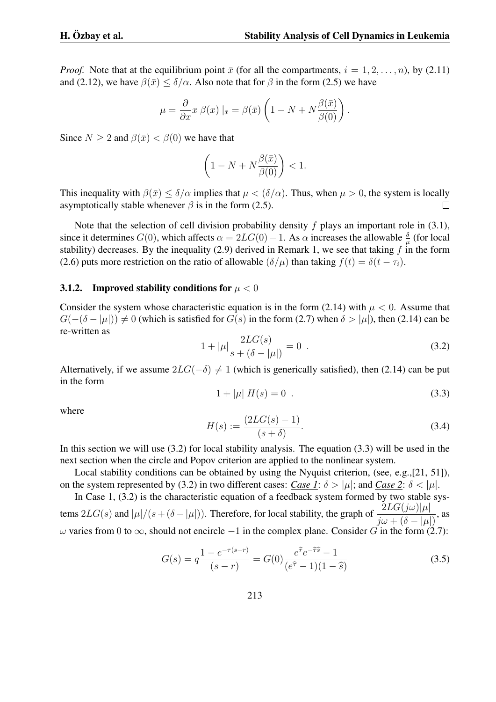*Proof.* Note that at the equilibrium point  $\bar{x}$  (for all the compartments,  $i = 1, 2, \ldots, n$ ), by (2.11) and (2.12), we have  $\beta(\bar{x}) \leq \delta/\alpha$ . Also note that for  $\beta$  in the form (2.5) we have

$$
\mu = \frac{\partial}{\partial x} x \beta(x) |_{\bar{x}} = \beta(\bar{x}) \left( 1 - N + N \frac{\beta(\bar{x})}{\beta(0)} \right).
$$

Since  $N > 2$  and  $\beta(\bar{x}) < \beta(0)$  we have that

$$
\left(1 - N + N\frac{\beta(\bar{x})}{\beta(0)}\right) < 1.
$$

This inequality with  $\beta(\bar{x}) < \delta/\alpha$  implies that  $\mu < (\delta/\alpha)$ . Thus, when  $\mu > 0$ , the system is locally asymptotically stable whenever  $\beta$  is in the form (2.5).  $\Box$ 

Note that the selection of cell division probability density *f* plays an important role in (3.1), since it determines  $G(0)$ , which affects  $\alpha = 2LG(0) - 1$ . As  $\alpha$  increases the allowable  $\frac{\delta}{\mu}$  (for local stability) decreases. By the inequality (2.9) derived in Remark 1, we see that taking  $f$  in the form (2.6) puts more restriction on the ratio of allowable  $(\delta/\mu)$  than taking  $f(t) = \delta(t - \tau_i)$ .

#### 3.1.2. Improved stability conditions for  $\mu < 0$

Consider the system whose characteristic equation is in the form  $(2.14)$  with  $\mu < 0$ . Assume that *G*( $−(δ − |µ|)$ )  $\neq 0$  (which is satisfied for *G*(*s*) in the form (2.7) when  $δ > |µ|$ ), then (2.14) can be re-written as

$$
1 + |\mu| \frac{2LG(s)}{s + (\delta - |\mu|)} = 0 \tag{3.2}
$$

Alternatively, if we assume  $2LG(-\delta) \neq 1$  (which is generically satisfied), then (2.14) can be put in the form

$$
1 + |\mu| \, H(s) = 0 \tag{3.3}
$$

where

$$
H(s) := \frac{(2LG(s) - 1)}{(s + \delta)}.
$$
\n(3.4)

In this section we will use (3.2) for local stability analysis. The equation (3.3) will be used in the next section when the circle and Popov criterion are applied to the nonlinear system.

Local stability conditions can be obtained by using the Nyquist criterion, (see, e.g.,[21, 51]), on the system represented by (3.2) in two different cases: *Case 1*:  $\delta > |\mu|$ ; and *Case 2*:  $\delta < |\mu|$ .

In Case 1, (3.2) is the characteristic equation of a feedback system formed by two stable systems  $2LG(s)$  and  $|\mu|/(s+(\delta-|\mu|))$ . Therefore, for local stability, the graph of  $\frac{2LG(j\omega)|\mu|}{s}$  $\frac{2\Delta\alpha\left(\int\alpha\right)|\mu|}{j\omega+(\delta-|\mu|)},$  as *ω* varies from 0 to *∞*, should not encircle *−*1 in the complex plane. Consider *G* in the form (2.7):

$$
G(s) = q \frac{1 - e^{-\tau(s-r)}}{(s-r)} = G(0) \frac{e^{\hat{\tau}} e^{-\hat{\tau}\hat{s}} - 1}{(e^{\hat{\tau}} - 1)(1 - \hat{s})}
$$
(3.5)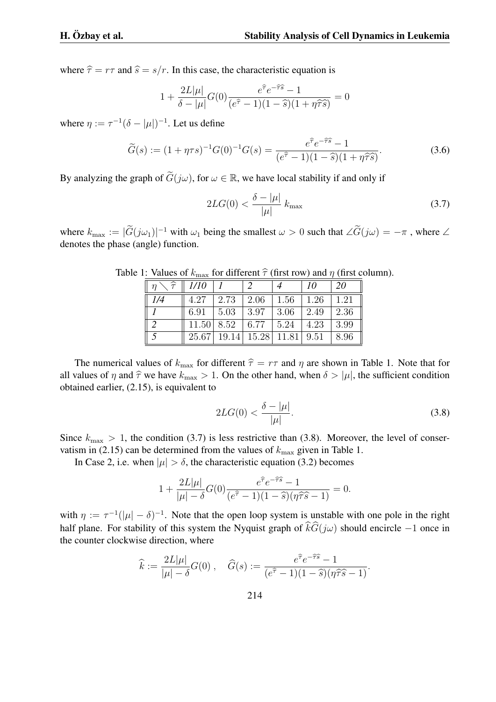where  $\hat{\tau} = r\tau$  and  $\hat{s} = s/r$ . In this case, the characteristic equation is

$$
1 + \frac{2L|\mu|}{\delta - |\mu|} G(0) \frac{e^{\hat{\tau}} e^{-\hat{\tau}\hat{s}} - 1}{(e^{\hat{\tau}} - 1)(1 - \hat{s})(1 + \eta \hat{\tau}\hat{s})} = 0
$$

where  $\eta := \tau^{-1}(\delta - |\mu|)^{-1}$ . Let us define

$$
\widetilde{G}(s) := (1 + \eta \tau s)^{-1} G(0)^{-1} G(s) = \frac{e^{\widehat{\tau}} e^{-\widehat{\tau}\widehat{s}} - 1}{(e^{\widehat{\tau}} - 1)(1 - \widehat{s})(1 + \eta \widehat{\tau}\widehat{s})}.
$$
\n(3.6)

By analyzing the graph of  $\tilde{G}(i\omega)$ , for  $\omega \in \mathbb{R}$ , we have local stability if and only if

$$
2LG(0) < \frac{\delta - |\mu|}{|\mu|} k_{\text{max}} \tag{3.7}
$$

where  $k_{\text{max}} := |\tilde{G}(j\omega_1)|^{-1}$  with  $\omega_1$  being the smallest  $\omega > 0$  such that  $\angle \tilde{G}(j\omega) = -\pi$ , where  $\angle$ denotes the phase (angle) function.

| $\widehat{\tau}$ | 1/10  |       |       |       | 10   | 20   |
|------------------|-------|-------|-------|-------|------|------|
| 1/4              | 4.27  | 2.73  | 2.06  | 1.56  | 1.26 | 1.21 |
|                  | 6.91  | 5.03  | 3.97  | 3.06  | 2.49 | 2.36 |
|                  | 11.50 | 8.52  | 6.77  | 5.24  | 4.23 | 3.99 |
|                  | 25.67 | 19.14 | 15.28 | 11.81 | 9.51 | 8.96 |

Table 1: Values of  $k_{\text{max}}$  for different  $\hat{\tau}$  (first row) and *η* (first column).

The numerical values of  $k_{\text{max}}$  for different  $\hat{\tau} = r\tau$  and  $\eta$  are shown in Table 1. Note that for all values of  $\eta$  and  $\hat{\tau}$  we have  $k_{\text{max}} > 1$ . On the other hand, when  $\delta > |\mu|$ , the sufficient condition obtained earlier, (2.15), is equivalent to

$$
2LG(0) < \frac{\delta - |\mu|}{|\mu|}.\tag{3.8}
$$

Since  $k_{\text{max}} > 1$ , the condition (3.7) is less restrictive than (3.8). Moreover, the level of conservatism in (2.15) can be determined from the values of  $k_{\text{max}}$  given in Table 1.

In Case 2, i.e. when  $|\mu| > \delta$ , the characteristic equation (3.2) becomes

$$
1 + \frac{2L|\mu|}{|\mu| - \delta} G(0) \frac{e^{\widehat{\tau}} e^{-\widehat{\tau}\widehat{s}} - 1}{(e^{\widehat{\tau}} - 1)(1 - \widehat{s})(\eta \widehat{\tau}\widehat{s} - 1)} = 0.
$$

with  $\eta := \tau^{-1}(|\mu| - \delta)^{-1}$ . Note that the open loop system is unstable with one pole in the right half plane. For stability of this system the Nyquist graph of  $\hat{k}\hat{G}(i\omega)$  should encircle  $-1$  once in the counter clockwise direction, where

$$
\widehat{k} := \frac{2L|\mu|}{|\mu| - \delta} G(0) , \quad \widehat{G}(s) := \frac{e^{\widehat{\tau}}e^{-\widehat{\tau}\widehat{s}} - 1}{(e^{\widehat{\tau}} - 1)(1 - \widehat{s})(\eta \widehat{\tau}\widehat{s} - 1)}.
$$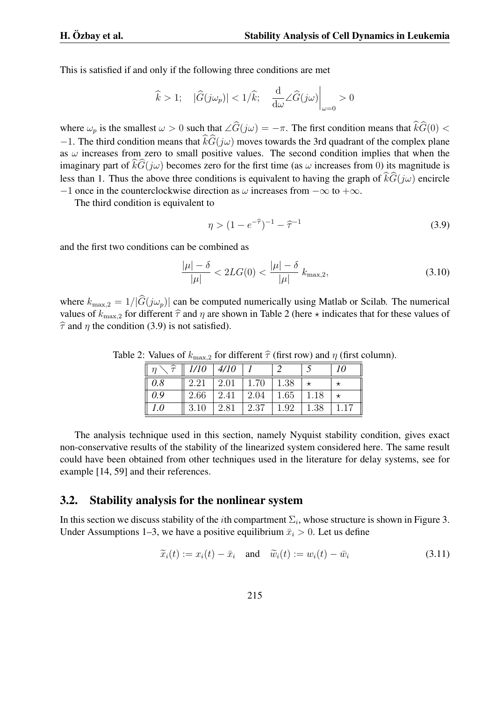This is satisfied if and only if the following three conditions are met

$$
\widehat k>1; \quad |\widehat G(j\omega_p)|<1/\widehat k; \quad \frac{\mathrm{d}}{\mathrm{d}\omega}\angle \widehat G(j\omega)\bigg|_{\omega=0}>0
$$

where  $\omega_p$  is the smallest  $\omega > 0$  such that  $\angle \widehat{G}(i\omega) = -\pi$ . The first condition means that  $\widehat{k}\widehat{G}(0) <$ *−*1. The third condition means that  $\hat{k}G(\hat{j}\omega)$  moves towards the 3rd quadrant of the complex plane as  $\omega$  increases from zero to small positive values. The second condition implies that when the imaginary part of  $\widehat{kG}(j\omega)$  becomes zero for the first time (as  $\omega$  increases from 0) its magnitude is less than 1. Thus the above three conditions is equivalent to having the graph of  $\hat{k}\hat{G}(i\omega)$  encircle *−*1 once in the counterclockwise direction as *ω* increases from *−∞* to +*∞*.

The third condition is equivalent to

$$
\eta > (1 - e^{-\hat{\tau}})^{-1} - \hat{\tau}^{-1}
$$
\n(3.9)

and the first two conditions can be combined as

$$
\frac{|\mu| - \delta}{|\mu|} < 2LG(0) < \frac{|\mu| - \delta}{|\mu|} k_{\text{max},2},\tag{3.10}
$$

where  $k_{\text{max},2} = 1/|\hat{G}(j\omega_p)|$  can be computed numerically using Matlab or Scilab. The numerical values of  $k_{\text{max},2}$  for different  $\hat{\tau}$  and  $\eta$  are shown in Table 2 (here  $\star$  indicates that for these values of  $\hat{\tau}$  and  $\eta$  the condition (3.9) is not satisfied).

| $\cdot$ $n$ $\cdot$ | $\hat{\tau}$   1/10 | 4/10        |      |      |      | 10 |
|---------------------|---------------------|-------------|------|------|------|----|
| 0.8                 | 2.21                | $\mid$ 2.01 | 1.70 | 1.38 |      |    |
| 0.9                 | 2.66                | 2.41        | 2.04 | 1.65 | 1.18 |    |
| 1.0                 | 3.10                | 2.81        | 2.37 | 1.92 | 1.38 |    |

Table 2: Values of  $k_{\text{max},2}$  for different  $\hat{\tau}$  (first row) and *η* (first column).

The analysis technique used in this section, namely Nyquist stability condition, gives exact non-conservative results of the stability of the linearized system considered here. The same result could have been obtained from other techniques used in the literature for delay systems, see for example [14, 59] and their references.

#### 3.2. Stability analysis for the nonlinear system

In this section we discuss stability of the *i*th compartment  $\Sigma_i$ , whose structure is shown in Figure 3. Under Assumptions 1–3, we have a positive equilibrium  $\bar{x}_i > 0$ . Let us define

$$
\widetilde{x}_i(t) := x_i(t) - \bar{x}_i \quad \text{and} \quad \widetilde{w}_i(t) := w_i(t) - \bar{w}_i \tag{3.11}
$$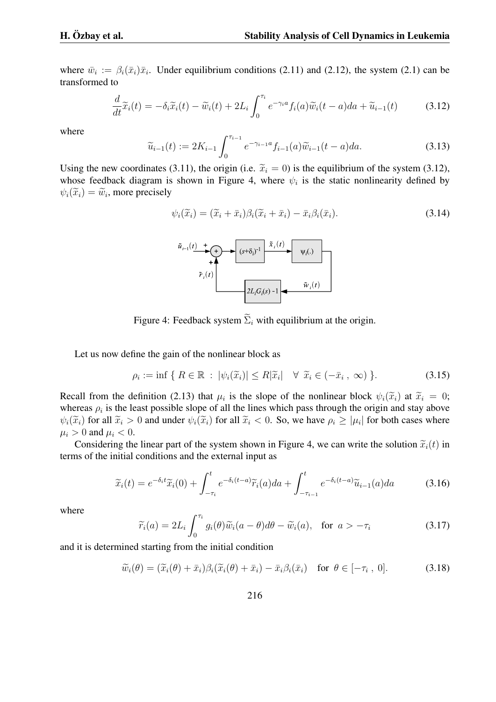where  $\bar{w}_i := \beta_i(\bar{x}_i)\bar{x}_i$ . Under equilibrium conditions (2.11) and (2.12), the system (2.1) can be transformed to

$$
\frac{d}{dt}\tilde{x}_i(t) = -\delta_i \tilde{x}_i(t) - \tilde{w}_i(t) + 2L_i \int_0^{\tau_i} e^{-\gamma_i a} f_i(a) \tilde{w}_i(t-a) da + \tilde{u}_{i-1}(t)
$$
\n(3.12)

where

$$
\widetilde{u}_{i-1}(t) := 2K_{i-1} \int_0^{\tau_{i-1}} e^{-\gamma_{i-1}a} f_{i-1}(a) \widetilde{w}_{i-1}(t-a) da.
$$
\n(3.13)

Using the new coordinates (3.11), the origin (i.e.  $\tilde{x}_i = 0$ ) is the equilibrium of the system (3.12), whose feedback diagram is shown in Figure 4, where  $\psi_i$  is the static nonlinearity defined by  $\psi_i(\widetilde{x}_i) = \widetilde{w}_i$ , more precisely

$$
\psi_i(\widetilde{x}_i) = (\widetilde{x}_i + \bar{x}_i)\beta_i(\widetilde{x}_i + \bar{x}_i) - \bar{x}_i\beta_i(\bar{x}_i). \tag{3.14}
$$



Figure 4: Feedback system  $\widetilde{\Sigma}_i$  with equilibrium at the origin.

Let us now define the gain of the nonlinear block as

$$
\rho_i := \inf \{ R \in \mathbb{R} \, : \, |\psi_i(\widetilde{x}_i)| \le R |\widetilde{x}_i| \quad \forall \ \widetilde{x}_i \in (-\bar{x}_i \, , \, \infty) \, \}.
$$

Recall from the definition (2.13) that  $\mu_i$  is the slope of the nonlinear block  $\psi_i(\tilde{x}_i)$  at  $\tilde{x}_i = 0$ ; whereas  $\rho_i$  is the least possible slope of all the lines which pass through the origin and stay above  $\psi_i(\tilde{x}_i)$  for all  $\tilde{x}_i > 0$  and under  $\psi_i(\tilde{x}_i)$  for all  $\tilde{x}_i < 0$ . So, we have  $\rho_i \ge |\mu_i|$  for both cases where  $\mu_i > 0$  and  $\mu_i < 0$ .

Considering the linear part of the system shown in Figure 4, we can write the solution  $\tilde{x}_i(t)$  in terms of the initial conditions and the external input as

$$
\widetilde{x}_i(t) = e^{-\delta_i t} \widetilde{x}_i(0) + \int_{-\tau_i}^t e^{-\delta_i (t-a)} \widetilde{r}_i(a) da + \int_{-\tau_{i-1}}^t e^{-\delta_i (t-a)} \widetilde{u}_{i-1}(a) da \tag{3.16}
$$

where

$$
\widetilde{r}_i(a) = 2L_i \int_0^{\tau_i} g_i(\theta) \widetilde{w}_i(a-\theta) d\theta - \widetilde{w}_i(a), \text{ for } a > -\tau_i
$$
\n(3.17)

and it is determined starting from the initial condition

$$
\widetilde{w}_i(\theta) = (\widetilde{x}_i(\theta) + \bar{x}_i)\beta_i(\widetilde{x}_i(\theta) + \bar{x}_i) - \bar{x}_i\beta_i(\bar{x}_i) \quad \text{for } \theta \in [-\tau_i, 0]. \tag{3.18}
$$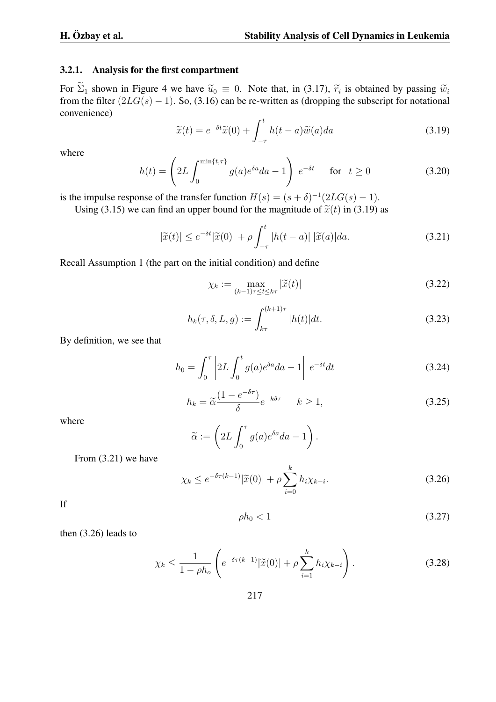#### 3.2.1. Analysis for the first compartment

For  $\Sigma_1$  shown in Figure 4 we have  $\tilde{u}_0 \equiv 0$ . Note that, in (3.17),  $\tilde{r}_i$  is obtained by passing  $\tilde{w}_i$  from the filter (3.17),  $\tilde{v}_i$  is obtained by passing  $\tilde{w}_i$ from the filter  $(2LG(s) - 1)$ . So, (3.16) can be re-written as (dropping the subscript for notational convenience)

$$
\widetilde{x}(t) = e^{-\delta t} \widetilde{x}(0) + \int_{-\tau}^{t} h(t-a) \widetilde{w}(a) da \tag{3.19}
$$

where

$$
h(t) = \left(2L \int_0^{\min\{t,\tau\}} g(a)e^{\delta a} da - 1\right) e^{-\delta t} \quad \text{for} \quad t \ge 0 \tag{3.20}
$$

is the impulse response of the transfer function  $H(s) = (s + \delta)^{-1}(2LG(s) - 1)$ .

Using (3.15) we can find an upper bound for the magnitude of  $\tilde{x}(t)$  in (3.19) as

$$
|\tilde{x}(t)| \le e^{-\delta t} |\tilde{x}(0)| + \rho \int_{-\tau}^{t} |h(t-a)| |\tilde{x}(a)| da.
$$
 (3.21)

Recall Assumption 1 (the part on the initial condition) and define

$$
\chi_k := \max_{(k-1)\tau \le t \le k\tau} |\widetilde{x}(t)| \tag{3.22}
$$

$$
h_k(\tau, \delta, L, g) := \int_{k\tau}^{(k+1)\tau} |h(t)| dt.
$$
 (3.23)

By definition, we see that

$$
h_0 = \int_0^\tau \left| 2L \int_0^t g(a)e^{\delta a} da - 1 \right| e^{-\delta t} dt \tag{3.24}
$$

$$
h_k = \tilde{\alpha} \frac{(1 - e^{-\delta \tau})}{\delta} e^{-k\delta \tau} \qquad k \ge 1,
$$
\n(3.25)

where

$$
\widetilde{\alpha} := \left(2L \int_0^{\tau} g(a)e^{\delta a} da - 1\right).
$$

From (3.21) we have

$$
\chi_k \le e^{-\delta \tau (k-1)} |\widetilde{x}(0)| + \rho \sum_{i=0}^k h_i \chi_{k-i}.
$$
\n(3.26)

If

$$
\rho h_0 < 1 \tag{3.27}
$$

then (3.26) leads to

$$
\chi_k \le \frac{1}{1 - \rho h_o} \left( e^{-\delta \tau (k-1)} |\widetilde{x}(0)| + \rho \sum_{i=1}^k h_i \chi_{k-i} \right). \tag{3.28}
$$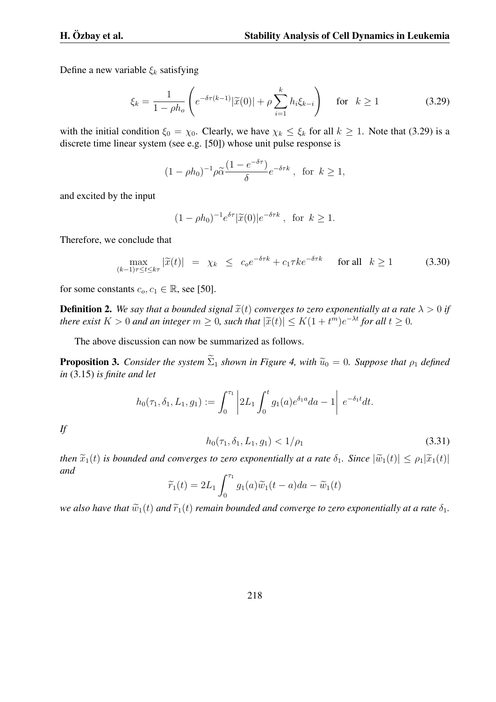Define a new variable *ξ<sup>k</sup>* satisfying

$$
\xi_k = \frac{1}{1 - \rho h_o} \left( e^{-\delta \tau (k-1)} |\tilde{x}(0)| + \rho \sum_{i=1}^k h_i \xi_{k-i} \right) \quad \text{for} \quad k \ge 1 \tag{3.29}
$$

with the initial condition  $\xi_0 = \chi_0$ . Clearly, we have  $\chi_k \leq \xi_k$  for all  $k \geq 1$ . Note that (3.29) is a discrete time linear system (see e.g. [50]) whose unit pulse response is

$$
(1 - \rho h_0)^{-1} \rho \widetilde{\alpha} \frac{(1 - e^{-\delta \tau})}{\delta} e^{-\delta \tau k}
$$
, for  $k \ge 1$ ,

and excited by the input

$$
(1 - \rho h_0)^{-1} e^{\delta \tau} |\widetilde{x}(0)| e^{-\delta \tau k}, \text{ for } k \ge 1.
$$

Therefore, we conclude that

$$
\max_{(k-1)\tau \le t \le k\tau} |\widetilde{x}(t)| = \chi_k \le c_0 e^{-\delta \tau k} + c_1 \tau k e^{-\delta \tau k} \quad \text{for all} \quad k \ge 1 \tag{3.30}
$$

for some constants  $c_o, c_1 \in \mathbb{R}$ , see [50].

**Definition 2.** We say that a bounded signal  $\tilde{x}(t)$  converges to zero exponentially at a rate  $\lambda > 0$  if there exist  $K > 0$  and an integer  $m \ge 0$ , such that  $|\widetilde{x}(t)| \le K(1 + t^m)e^{-\lambda t}$  for all  $t \ge 0$ .

The above discussion can now be summarized as follows.

**Proposition 3.** *Consider the system*  $\widetilde{\Sigma}_1$  *shown in Figure 4, with*  $\widetilde{u}_0 = 0$ *. Suppose that*  $\rho_1$  *defined in* (3.15) *is finite and let*

$$
h_0(\tau_1, \delta_1, L_1, g_1) := \int_0^{\tau_1} \left| 2L_1 \int_0^t g_1(a) e^{\delta_1 a} da - 1 \right| e^{-\delta_1 t} dt.
$$

*If*

$$
h_0(\tau_1, \delta_1, L_1, g_1) < 1/\rho_1 \tag{3.31}
$$

*then*  $\tilde{x}_1(t)$  *is bounded and converges to zero exponentially at a rate*  $\delta_1$ *. Since*  $|\tilde{w}_1(t)| \leq \rho_1 |\tilde{x}_1(t)|$ *and*

$$
\widetilde{r}_1(t) = 2L_1 \int_0^{\tau_1} g_1(a)\widetilde{w}_1(t-a)da - \widetilde{w}_1(t)
$$

*we also have that*  $\widetilde{w}_1(t)$  *and*  $\widetilde{r}_1(t)$  *remain bounded and converge to zero exponentially at a rate*  $\delta_1$ *.*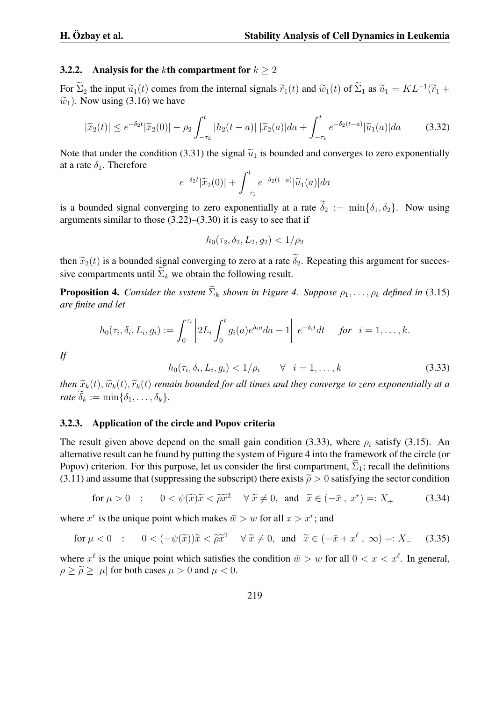#### 3.2.2. Analysis for the *k*th compartment for  $k > 2$

For  $\sum_{2}$  the input  $\widetilde{u}_{1}(t)$  comes from the internal signals  $\widetilde{r}_{1}(t)$  and  $\widetilde{w}_{1}(t)$  of  $\sum_{1}$  as  $\widetilde{u}_{1} = KL^{-1}(\widetilde{r}_{1} + \widetilde{w}_{1})$ .  $\tilde{w}_1$ ). Now using (3.16) we have

$$
|\tilde{x}_2(t)| \le e^{-\delta_2 t} |\tilde{x}_2(0)| + \rho_2 \int_{-\tau_2}^t |h_2(t-a)| |\tilde{x}_2(a)| da + \int_{-\tau_1}^t e^{-\delta_2(t-a)} |\tilde{u}_1(a)| da \tag{3.32}
$$

Note that under the condition (3.31) the signal  $\tilde{u}_1$  is bounded and converges to zero exponentially at a rate  $\delta_1$ . Therefore

$$
e^{-\delta_2 t}|\widetilde{x}_2(0)| + \int_{-\tau_1}^t e^{-\delta_2(t-a)}|\widetilde{u}_1(a)|da
$$

is a bounded signal converging to zero exponentially at a rate  $\widetilde{\delta}_2 := \min\{\delta_1, \delta_2\}$ . Now using arguments similar to those  $(3.22)$ – $(3.30)$  it is easy to see that if

$$
h_0(\tau_2, \delta_2, L_2, g_2) < 1/\rho_2
$$

then  $\tilde{x}_2(t)$  is a bounded signal converging to zero at a rate  $\tilde{\delta}_2$ . Repeating this argument for successive compartments until  $\Sigma_k$  we obtain the following result.

**Proposition 4.** *Consider the system*  $\widetilde{\Sigma}_k$  *shown in Figure 4. Suppose*  $\rho_1, \ldots, \rho_k$  *defined in* (3.15) *are finite and let*

$$
h_0(\tau_i,\delta_i,L_i,g_i):=\int_0^{\tau_i}\left|2L_i\int_0^tg_i(a)e^{\delta_i a}da-1\right|e^{-\delta_i t}dt \quad \text{ for } i=1,\ldots,k.
$$

*If*

$$
h_0(\tau_i, \delta_i, L_i, g_i) < 1/\rho_i \qquad \forall \quad i = 1, \dots, k \tag{3.33}
$$

*then*  $\tilde{x}_k(t)$ ,  $\tilde{w}_k(t)$ ,  $\tilde{r}_k(t)$  *remain bounded for all times and they converge to zero exponentially at a*  $rate \delta_k := \min\{\delta_1, \ldots, \delta_k\}.$ 

#### 3.2.3. Application of the circle and Popov criteria

The result given above depend on the small gain condition (3.33), where  $\rho_i$  satisfy (3.15). An alternative result can be found by putting the system of Figure 4 into the framework of the circle (or Popov) criterion. For this purpose, let us consider the first compartment,  $\Sigma_1$ ; recall the definitions (3.11) and assume that (suppressing the subscript) there exists  $\tilde{\rho} > 0$  satisfying the sector condition

for 
$$
\mu > 0
$$
 :  $0 < \psi(\tilde{x})\tilde{x} < \tilde{\rho}\tilde{x}^2 \quad \forall \tilde{x} \neq 0$ , and  $\tilde{x} \in (-\bar{x}, x^r) =: X_+$  (3.34)

where  $x^r$  is the unique point which makes  $\bar{w} > w$  for all  $x > x^r$ ; and

for 
$$
\mu < 0
$$
 :  $0 < (-\psi(\tilde{x}))\tilde{x} < \tilde{\rho}\tilde{x}^2 \quad \forall \tilde{x} \neq 0$ , and  $\tilde{x} \in (-\bar{x} + x^{\ell}, \infty) =: X_{-}$  (3.35)

where  $x^{\ell}$  is the unique point which satisfies the condition  $\bar{w} > w$  for all  $0 < x < x^{\ell}$ . In general,  $\rho \geq \tilde{\rho} \geq |\mu|$  for both cases  $\mu > 0$  and  $\mu < 0$ .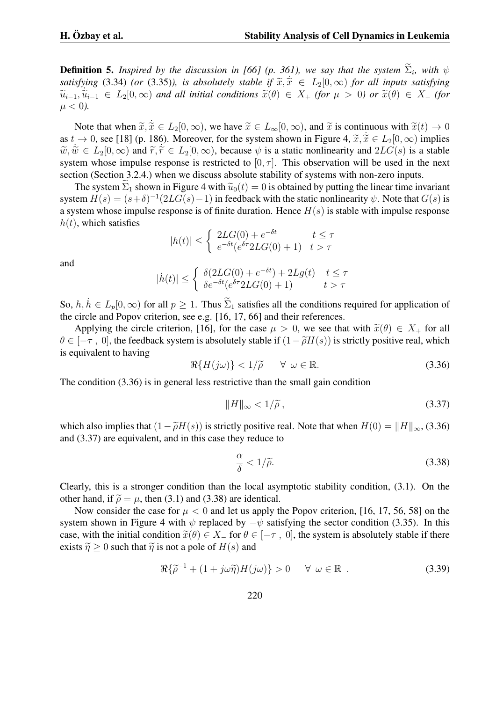**Definition 5.** *Inspired by the discussion in [66] (p. 361), we say that the system*  $\Sigma_i$ , with  $\psi$ *satisfying* (3.34) *(or* (3.35)*), is absolutely stable if*  $\tilde{x}, \tilde{x} \in L_2[0, \infty)$  *for all inputs satisfying*<br> $\tilde{z} \in L_2[0, \infty)$  *for all inputs satisfying*  $\widetilde{u}_{i-1}, \widetilde{u}_{i-1} \in L_2[0, \infty)$  and all initial conditions  $\widetilde{x}(\theta) \in X_+$  (for  $\mu > 0$ ) or  $\widetilde{x}(\theta) \in X_-$  (for  $\mu$  < 0).

Note that when  $\tilde{x}, \tilde{x} \in L_2[0, \infty)$ , we have  $\tilde{x} \in L_\infty[0, \infty)$ , and  $\tilde{x}$  is continuous with  $\tilde{x}(t) \to 0$ as  $t \to 0$ , see [18] (p. 186). Moreover, for the system shown in Figure 4,  $\tilde{x}, \tilde{x} \in L_2[0, \infty)$  implies  $\tilde{x} \tilde{y} \in L_1[0, \infty)$  and  $\tilde{y} \tilde{z} \in L_1[0, \infty)$  has such a set the negative such  $2L_1(C_1)$  is a stable  $\widetilde{w}, \widetilde{w} \in L_2[0, \infty)$  and  $\widetilde{r}, \widetilde{r} \in L_2[0, \infty)$ , because  $\psi$  is a static nonlinearity and  $2LG(s)$  is a stable system whose impulse response is restricted to  $[0, \tau]$ . This observation will be used in the next section (Section 3.2.4.) when we discuss absolute stability of systems with non-zero inputs.

The system  $\Sigma_1$  shown in Figure 4 with  $\widetilde{u}_0(t) = 0$  is obtained by putting the linear time invariant system  $H(s) = (s+\delta)^{-1}(2LG(s)-1)$  in feedback with the static nonlinearity  $\psi$ . Note that  $G(s)$  is a system whose impulse response is of finite duration. Hence *H*(*s*) is stable with impulse response  $h(t)$ , which satisfies

$$
|h(t)| \leq \begin{cases} 2LG(0) + e^{-\delta t} & t \leq \tau \\ e^{-\delta t} (e^{\delta \tau} 2LG(0) + 1) & t > \tau \end{cases}
$$

and

$$
|\dot{h}(t)| \le \begin{cases} \delta(2LG(0) + e^{-\delta t}) + 2Lg(t) & t \le \tau \\ \delta e^{-\delta t}(e^{\delta \tau} 2LG(0) + 1) & t > \tau \end{cases}
$$

So,  $h, h \in L_p[0, \infty)$  for all  $p \ge 1$ . Thus  $\widetilde{\Sigma}_1$  satisfies all the conditions required for application of the circle and Popov criterion, see e.g. [16, 17, 66] and their references.

Applying the circle criterion, [16], for the case  $\mu > 0$ , we see that with  $\tilde{x}(\theta) \in X_+$  for all  $\theta \in [-\tau, 0]$ , the feedback system is absolutely stable if  $(1-\tilde{\rho}H(s))$  is strictly positive real, which is equivalent to having

$$
\Re\{H(j\omega)\} < 1/\tilde{\rho} \qquad \forall \ \omega \in \mathbb{R}.\tag{3.36}
$$

The condition (3.36) is in general less restrictive than the small gain condition

$$
||H||_{\infty} < 1/\widetilde{\rho} \,, \tag{3.37}
$$

which also implies that  $(1 - \tilde{\rho}H(s))$  is strictly positive real. Note that when  $H(0) = ||H||_{\infty}$ , (3.36) and (3.37) are equivalent, and in this case they reduce to

$$
\frac{\alpha}{\delta} < 1/\tilde{\rho}.\tag{3.38}
$$

Clearly, this is a stronger condition than the local asymptotic stability condition, (3.1). On the other hand, if  $\tilde{\rho} = \mu$ , then (3.1) and (3.38) are identical.

Now consider the case for  $\mu < 0$  and let us apply the Popov criterion, [16, 17, 56, 58] on the system shown in Figure 4 with  $\psi$  replaced by  $-\psi$  satisfying the sector condition (3.35). In this case, with the initial condition  $\tilde{x}(\theta) \in X_{-}$  for  $\theta \in [-\tau, 0]$ , the system is absolutely stable if there exists  $\tilde{\eta} \ge 0$  such that  $\tilde{\eta}$  is not a pole of  $H(s)$  and

$$
\Re{\{\tilde{\rho}^{-1} + (1 + j\omega\tilde{\eta})H(j\omega)\}} > 0 \quad \forall \ \omega \in \mathbb{R} \ . \tag{3.39}
$$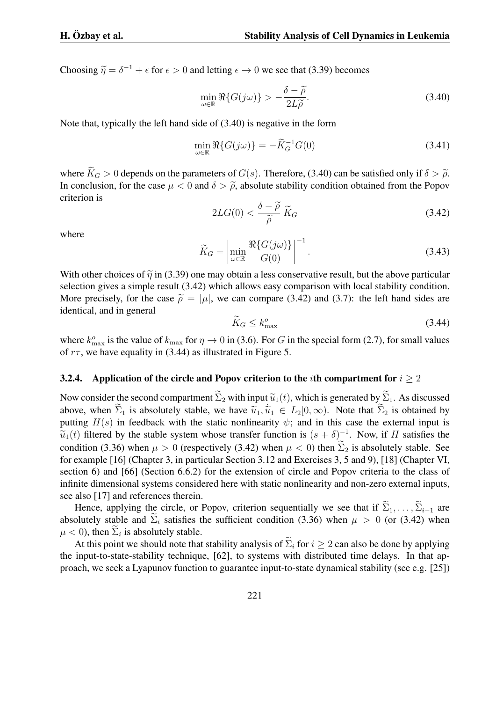Choosing  $\tilde{\eta} = \delta^{-1} + \epsilon$  for  $\epsilon > 0$  and letting  $\epsilon \to 0$  we see that (3.39) becomes

$$
\min_{\omega \in \mathbb{R}} \Re\{G(j\omega)\} > -\frac{\delta - \widetilde{\rho}}{2L\widetilde{\rho}}.\tag{3.40}
$$

Note that, typically the left hand side of (3.40) is negative in the form

$$
\min_{\omega \in \mathbb{R}} \Re\{G(j\omega)\} = -\widetilde{K}_G^{-1}G(0) \tag{3.41}
$$

where  $\widetilde{K}_G > 0$  depends on the parameters of *G*(*s*). Therefore, (3.40) can be satisfied only if  $\delta > \widetilde{\rho}$ . In conclusion, for the case  $\mu < 0$  and  $\delta > \tilde{\rho}$ , absolute stability condition obtained from the Popov criterion is

$$
2LG(0) < \frac{\delta - \widetilde{\rho}}{\widetilde{\rho}} \widetilde{K}_G \tag{3.42}
$$

where

$$
\widetilde{K}_G = \left| \min_{\omega \in \mathbb{R}} \frac{\Re\{G(j\omega)\}}{G(0)} \right|^{-1}.
$$
\n(3.43)

With other choices of  $\tilde{\eta}$  in (3.39) one may obtain a less conservative result, but the above particular selection gives a simple result (3.42) which allows easy comparison with local stability condition. More precisely, for the case  $\tilde{\rho} = |\mu|$ , we can compare (3.42) and (3.7): the left hand sides are identical, and in general

$$
\widetilde{K}_G \le k_{\text{max}}^o \tag{3.44}
$$

where  $k_{\text{max}}^{\circ}$  is the value of  $k_{\text{max}}$  for  $\eta \to 0$  in (3.6). For *G* in the special form (2.7), for small values of *rτ* , we have equality in (3.44) as illustrated in Figure 5.

#### 3.2.4. Application of the circle and Popov criterion to the *i*th compartment for *i ≥* 2

Now consider the second compartment  $\widetilde{\Sigma}_2$  with input  $\widetilde{u}_1(t)$ , which is generated by  $\widetilde{\Sigma}_1$ . As discussed above, when  $\widetilde{\Sigma}_1$  is absolutely stable, we have  $\widetilde{u}_1, \widetilde{u}_1 \in L_2[0, \infty)$ . Note that  $\widetilde{\Sigma}_2$  is obtained by putting  $H(s)$  in feedback with the static nonlinearity  $\psi$ ; and in this case the external input is  $\widetilde{u}_1(t)$  filtered by the stable system whose transfer function is  $(s + \delta)^{-1}$ . Now, if *H* satisfies the condition (3.36) when  $\mu > 0$  (respectively (3.42) when  $\mu < 0$ ) then  $\Sigma_2$  is absolutely stable. See for example [16] (Chapter 3, in particular Section 3.12 and Exercises 3, 5 and 9), [18] (Chapter VI, section 6) and [66] (Section 6.6.2) for the extension of circle and Popov criteria to the class of infinite dimensional systems considered here with static nonlinearity and non-zero external inputs, see also [17] and references therein.

Hence, applying the circle, or Popov, criterion sequentially we see that if  $\widetilde{\Sigma}_1, \ldots, \widetilde{\Sigma}_{i-1}$  are absolutely stable and  $\Sigma_i$  satisfies the sufficient condition (3.36) when  $\mu > 0$  (or (3.42) when  $\mu$  < 0), then  $\Sigma_i$  is absolutely stable.

At this point we should note that stability analysis of  $\widetilde{\Sigma}_i$  for  $i > 2$  can also be done by applying the input-to-state-stability technique, [62], to systems with distributed time delays. In that approach, we seek a Lyapunov function to guarantee input-to-state dynamical stability (see e.g. [25])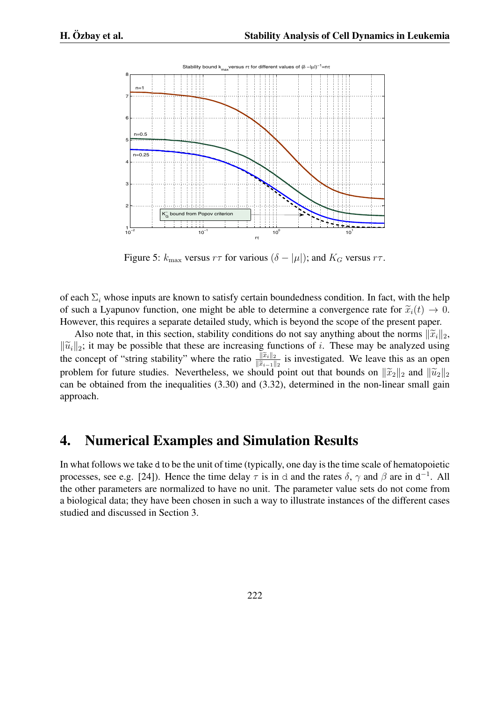

Figure 5:  $k_{\text{max}}$  versus  $r\tau$  for various  $(\delta - |\mu|)$ ; and  $K_G$  versus  $r\tau$ .

of each Σ*<sup>i</sup>* whose inputs are known to satisfy certain boundedness condition. In fact, with the help of such a Lyapunov function, one might be able to determine a convergence rate for  $\tilde{x}_i(t) \to 0$ . However, this requires a separate detailed study, which is beyond the scope of the present paper.

Also note that, in this section, stability conditions do not say anything about the norms  $\|\tilde{x}_i\|_2$ , *∣* $\widetilde{u}_i$ <sup>*|*</sup><sub>2</sub>; it may be possible that these are increasing functions of *i*. These may be analyzed using the concept of "string stability" where the ratio  $\frac{\|\widetilde{x}_i\|_2}{\|\widetilde{x}_{i-1}\|_2}$  is investigated. We leave this as an open problem for future studies. Nevertheless, we should point out that bounds on  $\|\tilde{x}_2\|_2$  and  $\|\tilde{u}_2\|_2$ can be obtained from the inequalities (3.30) and (3.32), determined in the non-linear small gain approach.

## 4. Numerical Examples and Simulation Results

In what follows we take d to be the unit of time (typically, one day is the time scale of hematopoietic processes, see e.g. [24]). Hence the time delay  $\tau$  is in d and the rates  $\delta$ ,  $\gamma$  and  $\beta$  are in d<sup>-1</sup>. All the other parameters are normalized to have no unit. The parameter value sets do not come from a biological data; they have been chosen in such a way to illustrate instances of the different cases studied and discussed in Section 3.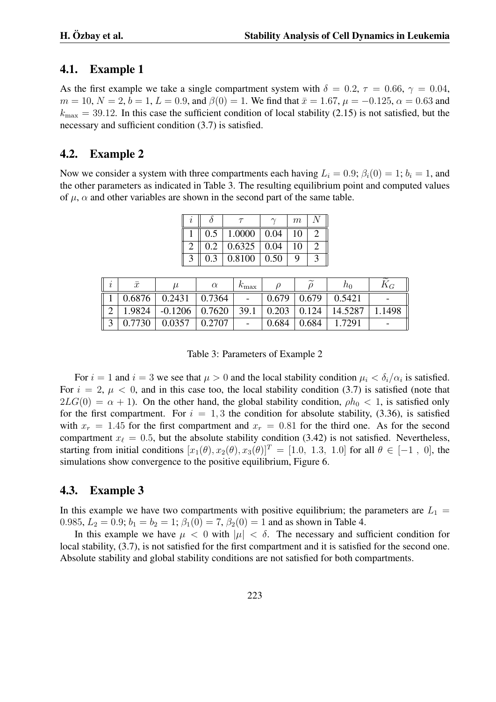### 4.1. Example 1

As the first example we take a single compartment system with  $\delta = 0.2$ ,  $\tau = 0.66$ ,  $\gamma = 0.04$ ,  $m = 10, N = 2, b = 1, L = 0.9$ , and  $\beta(0) = 1$ . We find that  $\bar{x} = 1.67, \mu = -0.125, \alpha = 0.63$  and  $k_{\text{max}} = 39.12$ . In this case the sufficient condition of local stability (2.15) is not satisfied, but the necessary and sufficient condition (3.7) is satisfied.

## 4.2. Example 2

Now we consider a system with three compartments each having  $L_i = 0.9$ ;  $\beta_i(0) = 1$ ;  $b_i = 1$ , and the other parameters as indicated in Table 3. The resulting equilibrium point and computed values of  $\mu$ ,  $\alpha$  and other variables are shown in the second part of the same table.

|  | $0.5$   1.0000   0.04       |  | -10 |  |
|--|-----------------------------|--|-----|--|
|  | $0.2$   0.6325   0.04       |  | 10  |  |
|  | $0.3 \mid 0.8100 \mid 0.50$ |  |     |  |

| $\boldsymbol{\eta}$ | $\bar{x}$ | $\mu$              |        | $n_{\max}$               |       | $\widetilde{\phantom{m}}$ | $n_{0}$ | $\Lambda_G$ |
|---------------------|-----------|--------------------|--------|--------------------------|-------|---------------------------|---------|-------------|
|                     | 0.6876    | 0.2431             | 0.7364 |                          | 0.679 | 0.679                     | 0.5421  |             |
|                     | 1.9824    | $-0.1206$   0.7620 |        | 39.1                     | 0.203 | 0.124                     | 14.5287 | 1498        |
|                     | 0.7730    | 0.0357             | 0.2707 | $\overline{\phantom{0}}$ | 0.684 | 0.684                     | 1.7291  |             |

Table 3: Parameters of Example 2

For  $i = 1$  and  $i = 3$  we see that  $\mu > 0$  and the local stability condition  $\mu_i < \delta_i/\alpha_i$  is satisfied. For  $i = 2$ ,  $\mu < 0$ , and in this case too, the local stability condition (3.7) is satisfied (note that  $2LG(0) = \alpha + 1$ ). On the other hand, the global stability condition,  $\rho h_0 < 1$ , is satisfied only for the first compartment. For  $i = 1, 3$  the condition for absolute stability,  $(3.36)$ , is satisfied with  $x_r = 1.45$  for the first compartment and  $x_r = 0.81$  for the third one. As for the second compartment  $x_{\ell} = 0.5$ , but the absolute stability condition (3.42) is not satisfied. Nevertheless, starting from initial conditions  $[x_1(\theta), x_2(\theta), x_3(\theta)]^T = [1.0, 1.3, 1.0]$  for all  $\theta \in [-1, 0]$ , the simulations show convergence to the positive equilibrium, Figure 6.

## 4.3. Example 3

In this example we have two compartments with positive equilibrium; the parameters are  $L_1 =$ 0.985,  $L_2 = 0.9$ ;  $b_1 = b_2 = 1$ ;  $\beta_1(0) = 7$ ,  $\beta_2(0) = 1$  and as shown in Table 4.

In this example we have  $\mu < 0$  with  $|\mu| < \delta$ . The necessary and sufficient condition for local stability, (3.7), is not satisfied for the first compartment and it is satisfied for the second one. Absolute stability and global stability conditions are not satisfied for both compartments.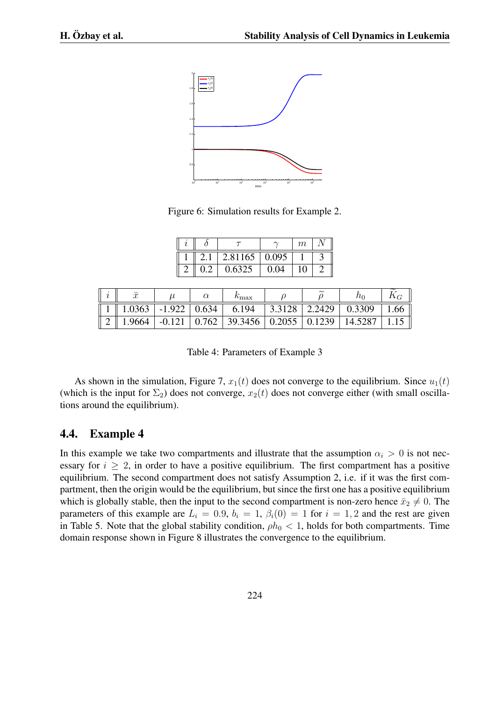

Figure 6: Simulation results for Example 2.

|  |                   |      | m |  |
|--|-------------------|------|---|--|
|  | $2.81165$   0.095 |      |   |  |
|  | 0.6325            | 0.04 |   |  |

|        |          |       | $v_{\rm max}$                                 |        | $\sim$               |         |     |
|--------|----------|-------|-----------------------------------------------|--------|----------------------|---------|-----|
| 1.0363 | $-1.922$ | 0.634 | 6.194                                         | 3.3128 | $\vert 2.2429 \vert$ | 0.3309  | .66 |
| 1.9664 | $-0.121$ | 0.762 | $\vert$ 39.3456 $\vert$ 0.2055 $\vert$ 0.1239 |        |                      | 14.5287 |     |

Table 4: Parameters of Example 3

As shown in the simulation, Figure 7,  $x_1(t)$  does not converge to the equilibrium. Since  $u_1(t)$ (which is the input for  $\Sigma_2$ ) does not converge,  $x_2(t)$  does not converge either (with small oscillations around the equilibrium).

#### 4.4. Example 4

In this example we take two compartments and illustrate that the assumption  $\alpha_i > 0$  is not necessary for  $i \geq 2$ , in order to have a positive equilibrium. The first compartment has a positive equilibrium. The second compartment does not satisfy Assumption 2, i.e. if it was the first compartment, then the origin would be the equilibrium, but since the first one has a positive equilibrium which is globally stable, then the input to the second compartment is non-zero hence  $\bar{x}_2 \neq 0$ . The parameters of this example are  $L_i = 0.9$ ,  $b_i = 1$ ,  $\beta_i(0) = 1$  for  $i = 1, 2$  and the rest are given in Table 5. Note that the global stability condition,  $\rho h_0 < 1$ , holds for both compartments. Time domain response shown in Figure 8 illustrates the convergence to the equilibrium.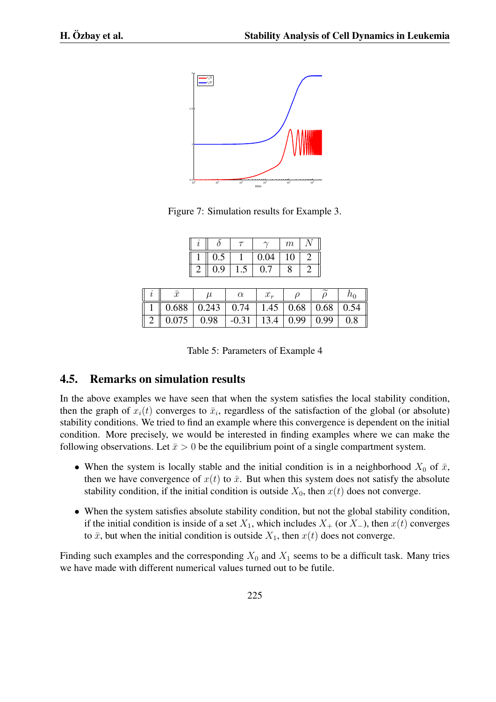

Figure 7: Simulation results for Example 3.

|     |      | m  |  |
|-----|------|----|--|
|     | 0.04 | .0 |  |
| 9.ر |      |    |  |

|                                                                                                    |  | $x_r$ |  | a <sub>0</sub> |
|----------------------------------------------------------------------------------------------------|--|-------|--|----------------|
| 1    0.688   0.243   0.74   1.45   0.68   0.68   0.54                                              |  |       |  |                |
| $\mid$ 2 $\parallel$ 0.075 $\mid$ 0.98 $\mid$ -0.31 $\mid$ 13.4 $\mid$ 0.99 $\mid$ 0.99 $\mid$ 0.8 |  |       |  |                |

Table 5: Parameters of Example 4

### 4.5. Remarks on simulation results

In the above examples we have seen that when the system satisfies the local stability condition, then the graph of  $x_i(t)$  converges to  $\bar{x}_i$ , regardless of the satisfaction of the global (or absolute) stability conditions. We tried to find an example where this convergence is dependent on the initial condition. More precisely, we would be interested in finding examples where we can make the following observations. Let  $\bar{x} > 0$  be the equilibrium point of a single compartment system.

- When the system is locally stable and the initial condition is in a neighborhood  $X_0$  of  $\bar{x}$ , then we have convergence of  $x(t)$  to  $\bar{x}$ . But when this system does not satisfy the absolute stability condition, if the initial condition is outside  $X_0$ , then  $x(t)$  does not converge.
- When the system satisfies absolute stability condition, but not the global stability condition, if the initial condition is inside of a set  $X_1$ , which includes  $X_+$  (or  $X_$ <sup>−</sup>), then  $x(t)$  converges to  $\bar{x}$ , but when the initial condition is outside  $X_1$ , then  $x(t)$  does not converge.

Finding such examples and the corresponding  $X_0$  and  $X_1$  seems to be a difficult task. Many tries we have made with different numerical values turned out to be futile.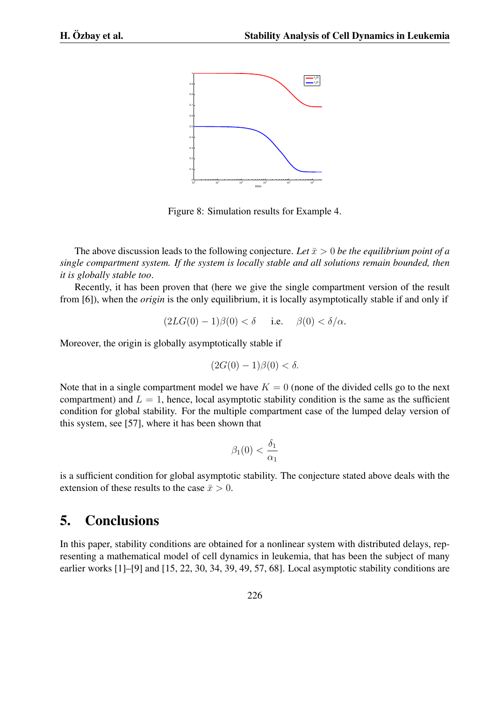

Figure 8: Simulation results for Example 4.

The above discussion leads to the following conjecture. Let  $\bar{x} > 0$  be the equilibrium point of a *single compartment system. If the system is locally stable and all solutions remain bounded, then it is globally stable too*.

Recently, it has been proven that (here we give the single compartment version of the result from [6]), when the *origin* is the only equilibrium, it is locally asymptotically stable if and only if

$$
(2LG(0) - 1)\beta(0) < \delta \quad \text{i.e.} \quad \beta(0) < \delta/\alpha.
$$

Moreover, the origin is globally asymptotically stable if

$$
(2G(0) - 1)\beta(0) < \delta.
$$

Note that in a single compartment model we have  $K = 0$  (none of the divided cells go to the next compartment) and  $L = 1$ , hence, local asymptotic stability condition is the same as the sufficient condition for global stability. For the multiple compartment case of the lumped delay version of this system, see [57], where it has been shown that

$$
\beta_1(0) < \frac{\delta_1}{\alpha_1}
$$

is a sufficient condition for global asymptotic stability. The conjecture stated above deals with the extension of these results to the case  $\bar{x} > 0$ .

# 5. Conclusions

In this paper, stability conditions are obtained for a nonlinear system with distributed delays, representing a mathematical model of cell dynamics in leukemia, that has been the subject of many earlier works [1]–[9] and [15, 22, 30, 34, 39, 49, 57, 68]. Local asymptotic stability conditions are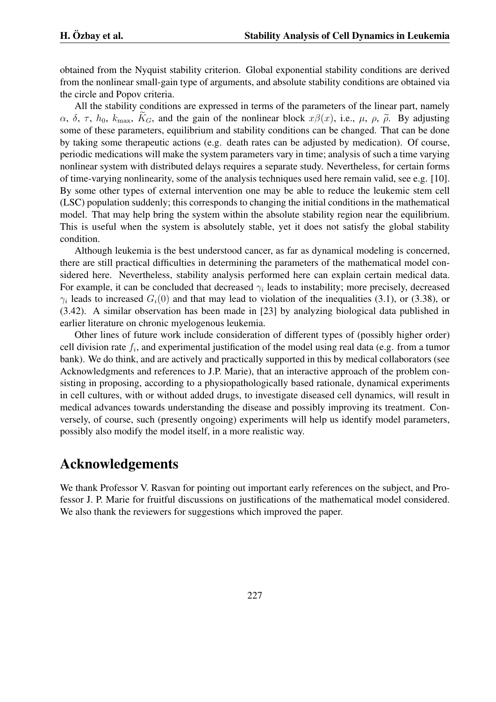obtained from the Nyquist stability criterion. Global exponential stability conditions are derived from the nonlinear small-gain type of arguments, and absolute stability conditions are obtained via the circle and Popov criteria.

All the stability conditions are expressed in terms of the parameters of the linear part, namely *α*, *δ*, *τ*, *h*<sub>0</sub>, *k*<sub>max</sub>, *K<sub>G</sub>*, and the gain of the nonlinear block *xβ*(*x*), i.e., *μ*, *ρ*,  $\tilde{\rho}$ . By adjusting some of these parameters, equilibrium and stability conditions can be changed. That can be done by taking some therapeutic actions (e.g. death rates can be adjusted by medication). Of course, periodic medications will make the system parameters vary in time; analysis of such a time varying nonlinear system with distributed delays requires a separate study. Nevertheless, for certain forms of time-varying nonlinearity, some of the analysis techniques used here remain valid, see e.g. [10]. By some other types of external intervention one may be able to reduce the leukemic stem cell (LSC) population suddenly; this corresponds to changing the initial conditions in the mathematical model. That may help bring the system within the absolute stability region near the equilibrium. This is useful when the system is absolutely stable, yet it does not satisfy the global stability condition.

Although leukemia is the best understood cancer, as far as dynamical modeling is concerned, there are still practical difficulties in determining the parameters of the mathematical model considered here. Nevertheless, stability analysis performed here can explain certain medical data. For example, it can be concluded that decreased *γ<sup>i</sup>* leads to instability; more precisely, decreased  $\gamma_i$  leads to increased  $G_i(0)$  and that may lead to violation of the inequalities (3.1), or (3.38), or (3.42). A similar observation has been made in [23] by analyzing biological data published in earlier literature on chronic myelogenous leukemia.

Other lines of future work include consideration of different types of (possibly higher order) cell division rate *f<sup>i</sup>* , and experimental justification of the model using real data (e.g. from a tumor bank). We do think, and are actively and practically supported in this by medical collaborators (see Acknowledgments and references to J.P. Marie), that an interactive approach of the problem consisting in proposing, according to a physiopathologically based rationale, dynamical experiments in cell cultures, with or without added drugs, to investigate diseased cell dynamics, will result in medical advances towards understanding the disease and possibly improving its treatment. Conversely, of course, such (presently ongoing) experiments will help us identify model parameters, possibly also modify the model itself, in a more realistic way.

## Acknowledgements

We thank Professor V. Rasvan for pointing out important early references on the subject, and Professor J. P. Marie for fruitful discussions on justifications of the mathematical model considered. We also thank the reviewers for suggestions which improved the paper.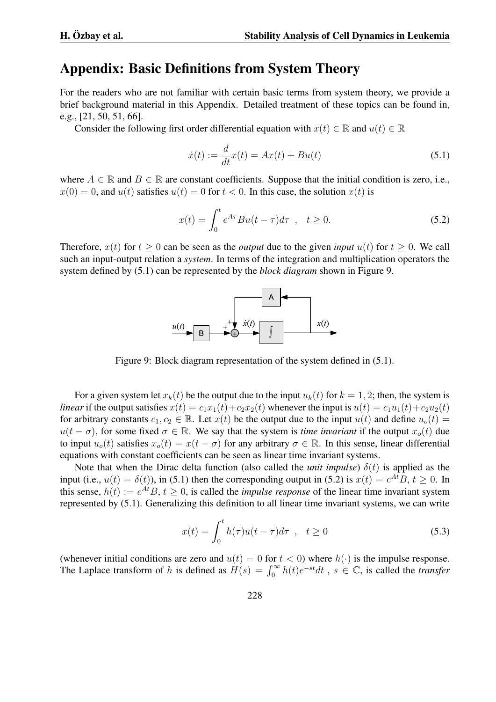# Appendix: Basic Definitions from System Theory

For the readers who are not familiar with certain basic terms from system theory, we provide a brief background material in this Appendix. Detailed treatment of these topics can be found in, e.g., [21, 50, 51, 66].

Consider the following first order differential equation with  $x(t) \in \mathbb{R}$  and  $u(t) \in \mathbb{R}$ 

$$
\dot{x}(t) := \frac{d}{dt}x(t) = Ax(t) + Bu(t)
$$
\n(5.1)

where  $A \in \mathbb{R}$  and  $B \in \mathbb{R}$  are constant coefficients. Suppose that the initial condition is zero, i.e.,  $x(0) = 0$ , and  $u(t)$  satisfies  $u(t) = 0$  for  $t < 0$ . In this case, the solution  $x(t)$  is

$$
x(t) = \int_0^t e^{A\tau} Bu(t - \tau) d\tau \quad , \quad t \ge 0. \tag{5.2}
$$

Therefore,  $x(t)$  for  $t \ge 0$  can be seen as the *output* due to the given *input*  $u(t)$  for  $t \ge 0$ . We call such an input-output relation a *system*. In terms of the integration and multiplication operators the system defined by (5.1) can be represented by the *block diagram* shown in Figure 9.



Figure 9: Block diagram representation of the system defined in (5.1).

For a given system let  $x_k(t)$  be the output due to the input  $u_k(t)$  for  $k = 1, 2$ ; then, the system is *linear* if the output satisfies  $x(t) = c_1x_1(t) + c_2x_2(t)$  whenever the input is  $u(t) = c_1u_1(t) + c_2u_2(t)$ for arbitrary constants  $c_1, c_2 \in \mathbb{R}$ . Let  $x(t)$  be the output due to the input  $u(t)$  and define  $u_o(t) =$  $u(t - \sigma)$ , for some fixed  $\sigma \in \mathbb{R}$ . We say that the system is *time invariant* if the output  $x_o(t)$  due to input  $u_o(t)$  satisfies  $x_o(t) = x(t - \sigma)$  for any arbitrary  $\sigma \in \mathbb{R}$ . In this sense, linear differential equations with constant coefficients can be seen as linear time invariant systems.

Note that when the Dirac delta function (also called the *unit impulse*)  $\delta(t)$  is applied as the input (i.e.,  $u(t) = \delta(t)$ ), in (5.1) then the corresponding output in (5.2) is  $x(t) = e^{At}B$ ,  $t \ge 0$ . In this sense,  $h(t) := e^{At}B$ ,  $t \ge 0$ , is called the *impulse response* of the linear time invariant system represented by (5.1). Generalizing this definition to all linear time invariant systems, we can write

$$
x(t) = \int_0^t h(\tau)u(t-\tau)d\tau \quad , \quad t \ge 0 \tag{5.3}
$$

(whenever initial conditions are zero and  $u(t) = 0$  for  $t < 0$ ) where  $h(\cdot)$  is the impulse response. The Laplace transform of *h* is defined as  $H(s) = \int_0^\infty h(t)e^{-st}dt$ ,  $s \in \mathbb{C}$ , is called the *transfer*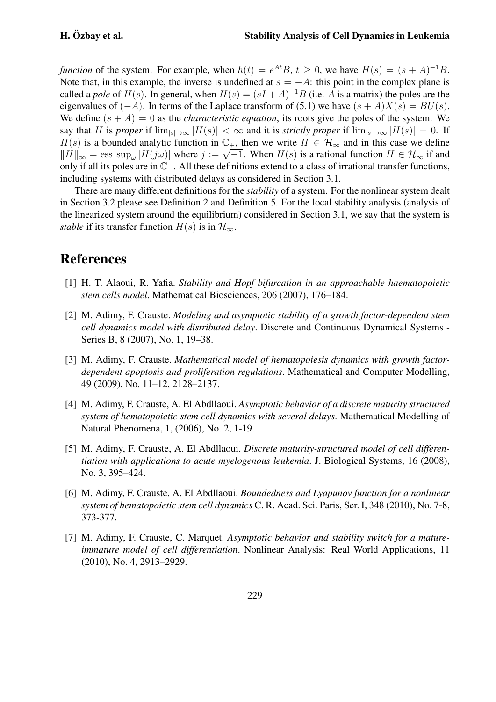*function* of the system. For example, when  $h(t) = e^{At}B$ ,  $t \ge 0$ , we have  $H(s) = (s + A)^{-1}B$ . Note that, in this example, the inverse is undefined at  $s = -A$ : this point in the complex plane is called a *pole* of  $H(s)$ . In general, when  $H(s) = (sI + A)^{-1}B$  (i.e. *A* is a matrix) the poles are the eigenvalues of  $(-A)$ . In terms of the Laplace transform of (5.1) we have  $(s + A)X(s) = BU(s)$ . We define  $(s + A) = 0$  as the *characteristic equation*, its roots give the poles of the system. We say that H is proper if  $\lim_{|s|\to\infty} |H(s)| < \infty$  and it is strictly proper if  $\lim_{|s|\to\infty} |H(s)| = 0$ . If *H*(*s*) is a bounded analytic function in  $\mathbb{C}_+$ , then we write  $H \in \mathcal{H}_{\infty}$  and in this case we define  $||H||_{\infty}$  = ess sup<sub>ω</sub>  $|H(j\omega)|$  where  $j := \sqrt{-1}$ . When  $H(s)$  is a rational function  $H \in \mathcal{H}_{\infty}$  if and  $||H||_{\infty}$ only if all its poles are in C*−*. All these definitions extend to a class of irrational transfer functions, including systems with distributed delays as considered in Section 3.1.

There are many different definitions for the *stability* of a system. For the nonlinear system dealt in Section 3.2 please see Definition 2 and Definition 5. For the local stability analysis (analysis of the linearized system around the equilibrium) considered in Section 3.1, we say that the system is *stable* if its transfer function  $H(s)$  is in  $\mathcal{H}_{\infty}$ .

# References

- [1] H. T. Alaoui, R. Yafia. *Stability and Hopf bifurcation in an approachable haematopoietic stem cells model*. Mathematical Biosciences, 206 (2007), 176–184.
- [2] M. Adimy, F. Crauste. *Modeling and asymptotic stability of a growth factor-dependent stem cell dynamics model with distributed delay*. Discrete and Continuous Dynamical Systems - Series B, 8 (2007), No. 1, 19–38.
- [3] M. Adimy, F. Crauste. *Mathematical model of hematopoiesis dynamics with growth factordependent apoptosis and proliferation regulations*. Mathematical and Computer Modelling, 49 (2009), No. 11–12, 2128–2137.
- [4] M. Adimy, F. Crauste, A. El Abdllaoui. *Asymptotic behavior of a discrete maturity structured system of hematopoietic stem cell dynamics with several delays*. Mathematical Modelling of Natural Phenomena, 1, (2006), No. 2, 1-19.
- [5] M. Adimy, F. Crauste, A. El Abdllaoui. *Discrete maturity-structured model of cell differentiation with applications to acute myelogenous leukemia*. J. Biological Systems, 16 (2008), No. 3, 395–424.
- [6] M. Adimy, F. Crauste, A. El Abdllaoui. *Boundedness and Lyapunov function for a nonlinear system of hematopoietic stem cell dynamics* C. R. Acad. Sci. Paris, Ser. I, 348 (2010), No. 7-8, 373-377.
- [7] M. Adimy, F. Crauste, C. Marquet. *Asymptotic behavior and stability switch for a matureimmature model of cell differentiation*. Nonlinear Analysis: Real World Applications, 11 (2010), No. 4, 2913–2929.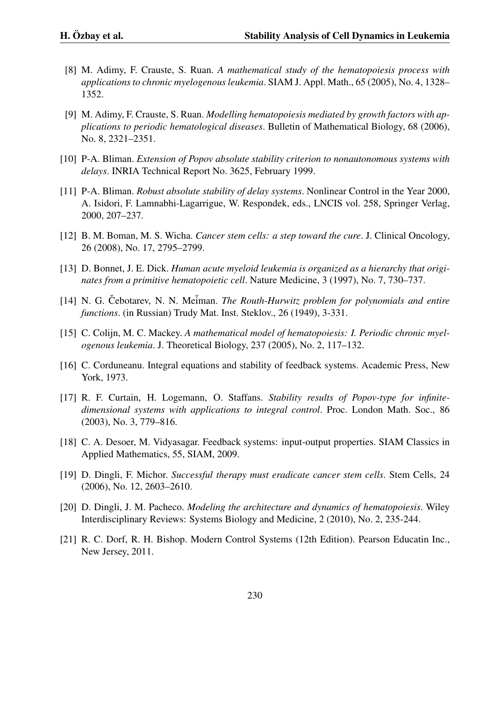- [8] M. Adimy, F. Crauste, S. Ruan. *A mathematical study of the hematopoiesis process with applications to chronic myelogenous leukemia*. SIAM J. Appl. Math., 65 (2005), No. 4, 1328– 1352.
- [9] M. Adimy, F. Crauste, S. Ruan. *Modelling hematopoiesis mediated by growth factors with applications to periodic hematological diseases*. Bulletin of Mathematical Biology, 68 (2006), No. 8, 2321–2351.
- [10] P-A. Bliman. *Extension of Popov absolute stability criterion to nonautonomous systems with delays*. INRIA Technical Report No. 3625, February 1999.
- [11] P-A. Bliman. *Robust absolute stability of delay systems*. Nonlinear Control in the Year 2000, A. Isidori, F. Lamnabhi-Lagarrigue, W. Respondek, eds., LNCIS vol. 258, Springer Verlag, 2000, 207–237.
- [12] B. M. Boman, M. S. Wicha. *Cancer stem cells: a step toward the cure*. J. Clinical Oncology, 26 (2008), No. 17, 2795–2799.
- [13] D. Bonnet, J. E. Dick. *Human acute myeloid leukemia is organized as a hierarchy that originates from a primitive hematopoietic cell*. Nature Medicine, 3 (1997), No. 7, 730–737.
- [14] N. G. Čebotarev, N. N. Meiman. *The Routh-Hurwitz problem for polynomials and entire functions*. (in Russian) Trudy Mat. Inst. Steklov., 26 (1949), 3-331.
- [15] C. Colijn, M. C. Mackey. *A mathematical model of hematopoiesis: I. Periodic chronic myelogenous leukemia*. J. Theoretical Biology, 237 (2005), No. 2, 117–132.
- [16] C. Corduneanu. Integral equations and stability of feedback systems. Academic Press, New York, 1973.
- [17] R. F. Curtain, H. Logemann, O. Staffans. *Stability results of Popov-type for infinitedimensional systems with applications to integral control*. Proc. London Math. Soc., 86 (2003), No. 3, 779–816.
- [18] C. A. Desoer, M. Vidyasagar. Feedback systems: input-output properties. SIAM Classics in Applied Mathematics, 55, SIAM, 2009.
- [19] D. Dingli, F. Michor. *Successful therapy must eradicate cancer stem cells*. Stem Cells, 24 (2006), No. 12, 2603–2610.
- [20] D. Dingli, J. M. Pacheco. *Modeling the architecture and dynamics of hematopoiesis*. Wiley Interdisciplinary Reviews: Systems Biology and Medicine, 2 (2010), No. 2, 235-244.
- [21] R. C. Dorf, R. H. Bishop. Modern Control Systems (12th Edition). Pearson Educatin Inc., New Jersey, 2011.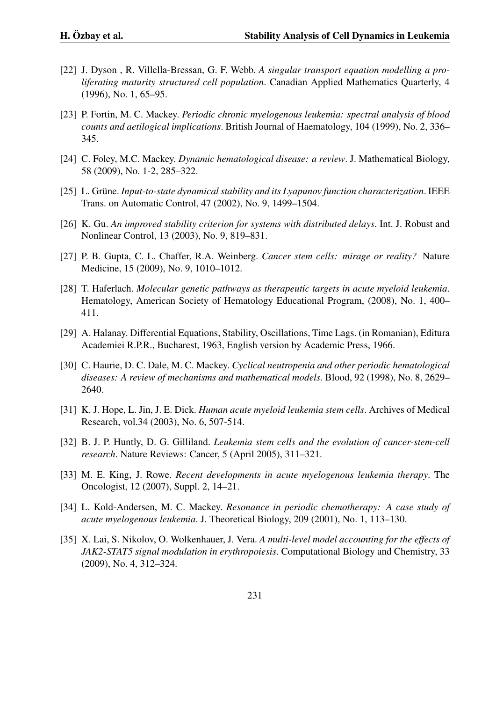- [22] J. Dyson , R. Villella-Bressan, G. F. Webb. *A singular transport equation modelling a proliferating maturity structured cell population*. Canadian Applied Mathematics Quarterly, 4 (1996), No. 1, 65–95.
- [23] P. Fortin, M. C. Mackey. *Periodic chronic myelogenous leukemia: spectral analysis of blood counts and aetilogical implications*. British Journal of Haematology, 104 (1999), No. 2, 336– 345.
- [24] C. Foley, M.C. Mackey. *Dynamic hematological disease: a review*. J. Mathematical Biology, 58 (2009), No. 1-2, 285–322.
- [25] L. Grüne. *Input-to-state dynamical stability and its Lyapunov function characterization*. IEEE Trans. on Automatic Control, 47 (2002), No. 9, 1499–1504.
- [26] K. Gu. *An improved stability criterion for systems with distributed delays*. Int. J. Robust and Nonlinear Control, 13 (2003), No. 9, 819–831.
- [27] P. B. Gupta, C. L. Chaffer, R.A. Weinberg. *Cancer stem cells: mirage or reality?* Nature Medicine, 15 (2009), No. 9, 1010–1012.
- [28] T. Haferlach. *Molecular genetic pathways as therapeutic targets in acute myeloid leukemia*. Hematology, American Society of Hematology Educational Program, (2008), No. 1, 400– 411.
- [29] A. Halanay. Differential Equations, Stability, Oscillations, Time Lags. (in Romanian), Editura Academiei R.P.R., Bucharest, 1963, English version by Academic Press, 1966.
- [30] C. Haurie, D. C. Dale, M. C. Mackey. *Cyclical neutropenia and other periodic hematological diseases: A review of mechanisms and mathematical models*. Blood, 92 (1998), No. 8, 2629– 2640.
- [31] K. J. Hope, L. Jin, J. E. Dick. *Human acute myeloid leukemia stem cells*. Archives of Medical Research, vol.34 (2003), No. 6, 507-514.
- [32] B. J. P. Huntly, D. G. Gilliland. *Leukemia stem cells and the evolution of cancer-stem-cell research*. Nature Reviews: Cancer, 5 (April 2005), 311–321.
- [33] M. E. King, J. Rowe. *Recent developments in acute myelogenous leukemia therapy*. The Oncologist, 12 (2007), Suppl. 2, 14–21.
- [34] L. Kold-Andersen, M. C. Mackey. *Resonance in periodic chemotherapy: A case study of acute myelogenous leukemia*. J. Theoretical Biology, 209 (2001), No. 1, 113–130.
- [35] X. Lai, S. Nikolov, O. Wolkenhauer, J. Vera. *A multi-level model accounting for the effects of JAK2-STAT5 signal modulation in erythropoiesis*. Computational Biology and Chemistry, 33 (2009), No. 4, 312–324.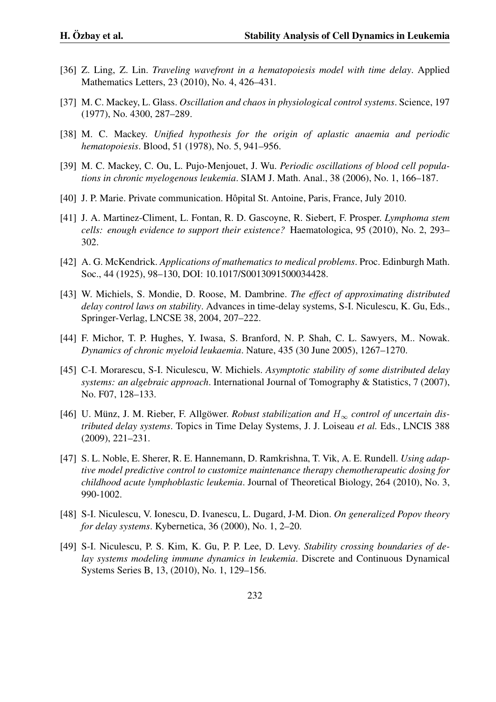- [36] Z. Ling, Z. Lin. *Traveling wavefront in a hematopoiesis model with time delay*. Applied Mathematics Letters, 23 (2010), No. 4, 426–431.
- [37] M. C. Mackey, L. Glass. *Oscillation and chaos in physiological control systems*. Science, 197 (1977), No. 4300, 287–289.
- [38] M. C. Mackey. *Unified hypothesis for the origin of aplastic anaemia and periodic hematopoiesis*. Blood, 51 (1978), No. 5, 941–956.
- [39] M. C. Mackey, C. Ou, L. Pujo-Menjouet, J. Wu. *Periodic oscillations of blood cell populations in chronic myelogenous leukemia*. SIAM J. Math. Anal., 38 (2006), No. 1, 166–187.
- [40] J. P. Marie. Private communication. Hôpital St. Antoine, Paris, France, July 2010.
- [41] J. A. Martinez-Climent, L. Fontan, R. D. Gascoyne, R. Siebert, F. Prosper. *Lymphoma stem cells: enough evidence to support their existence?* Haematologica, 95 (2010), No. 2, 293– 302.
- [42] A. G. McKendrick. *Applications of mathematics to medical problems*. Proc. Edinburgh Math. Soc., 44 (1925), 98–130, DOI: 10.1017/S0013091500034428.
- [43] W. Michiels, S. Mondie, D. Roose, M. Dambrine. *The effect of approximating distributed delay control laws on stability*. Advances in time-delay systems, S-I. Niculescu, K. Gu, Eds., Springer-Verlag, LNCSE 38, 2004, 207–222.
- [44] F. Michor, T. P. Hughes, Y. Iwasa, S. Branford, N. P. Shah, C. L. Sawyers, M.. Nowak. *Dynamics of chronic myeloid leukaemia*. Nature, 435 (30 June 2005), 1267–1270.
- [45] C-I. Morarescu, S-I. Niculescu, W. Michiels. *Asymptotic stability of some distributed delay systems: an algebraic approach*. International Journal of Tomography & Statistics, 7 (2007), No. F07, 128–133.
- [46] U. Münz, J. M. Rieber, F. Allgöwer. *Robust stabilization and*  $H_{\infty}$  *control of uncertain distributed delay systems*. Topics in Time Delay Systems, J. J. Loiseau *et al.* Eds., LNCIS 388 (2009), 221–231.
- [47] S. L. Noble, E. Sherer, R. E. Hannemann, D. Ramkrishna, T. Vik, A. E. Rundell. *Using adaptive model predictive control to customize maintenance therapy chemotherapeutic dosing for childhood acute lymphoblastic leukemia*. Journal of Theoretical Biology, 264 (2010), No. 3, 990-1002.
- [48] S-I. Niculescu, V. Ionescu, D. Ivanescu, L. Dugard, J-M. Dion. *On generalized Popov theory for delay systems*. Kybernetica, 36 (2000), No. 1, 2–20.
- [49] S-I. Niculescu, P. S. Kim, K. Gu, P. P. Lee, D. Levy. *Stability crossing boundaries of delay systems modeling immune dynamics in leukemia*. Discrete and Continuous Dynamical Systems Series B, 13, (2010), No. 1, 129–156.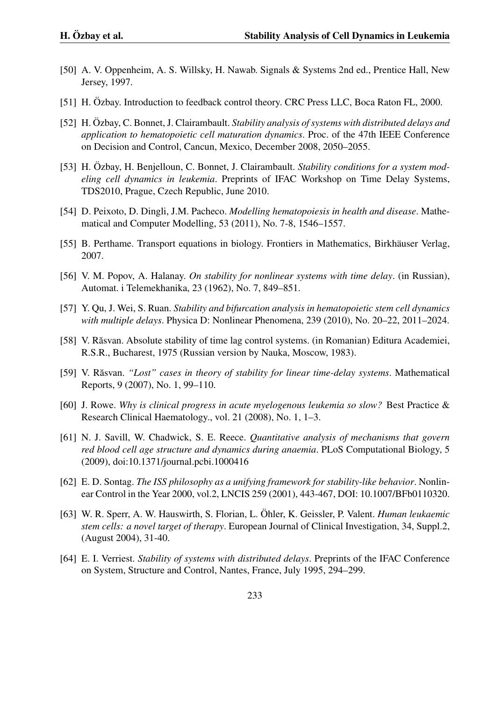- [50] A. V. Oppenheim, A. S. Willsky, H. Nawab. Signals & Systems 2nd ed., Prentice Hall, New Jersey, 1997.
- [51] H. Ozbay. Introduction to feedback control theory. CRC Press LLC, Boca Raton FL, 2000.
- [52] H. Özbay, C. Bonnet, J. Clairambault. Stability analysis of systems with distributed delays and *application to hematopoietic cell maturation dynamics*. Proc. of the 47th IEEE Conference on Decision and Control, Cancun, Mexico, December 2008, 2050–2055.
- [53] H. Ozbay, H. Benjelloun, C. Bonnet, J. Clairambault. *Stability conditions for a system modeling cell dynamics in leukemia*. Preprints of IFAC Workshop on Time Delay Systems, TDS2010, Prague, Czech Republic, June 2010.
- [54] D. Peixoto, D. Dingli, J.M. Pacheco. *Modelling hematopoiesis in health and disease*. Mathematical and Computer Modelling, 53 (2011), No. 7-8, 1546–1557.
- [55] B. Perthame. Transport equations in biology. Frontiers in Mathematics, Birkhäuser Verlag, 2007.
- [56] V. M. Popov, A. Halanay. *On stability for nonlinear systems with time delay*. (in Russian), Automat. i Telemekhanika, 23 (1962), No. 7, 849–851.
- [57] Y. Qu, J. Wei, S. Ruan. *Stability and bifurcation analysis in hematopoietic stem cell dynamics with multiple delays*. Physica D: Nonlinear Phenomena, 239 (2010), No. 20–22, 2011–2024.
- [58] V. Răsvan. Absolute stability of time lag control systems. (in Romanian) Editura Academiei, R.S.R., Bucharest, 1975 (Russian version by Nauka, Moscow, 1983).
- [59] V. Răsvan. "Lost" cases in theory of stability for linear time-delay systems. Mathematical Reports, 9 (2007), No. 1, 99–110.
- [60] J. Rowe. *Why is clinical progress in acute myelogenous leukemia so slow?* Best Practice & Research Clinical Haematology., vol. 21 (2008), No. 1, 1–3.
- [61] N. J. Savill, W. Chadwick, S. E. Reece. *Quantitative analysis of mechanisms that govern red blood cell age structure and dynamics during anaemia*. PLoS Computational Biology, 5 (2009), doi:10.1371/journal.pcbi.1000416
- [62] E. D. Sontag. *The ISS philosophy as a unifying framework for stability-like behavior*. Nonlinear Control in the Year 2000, vol.2, LNCIS 259 (2001), 443-467, DOI: 10.1007/BFb0110320.
- [63] W. R. Sperr, A. W. Hauswirth, S. Florian, L. Öhler, K. Geissler, P. Valent. *Human leukaemic stem cells: a novel target of therapy*. European Journal of Clinical Investigation, 34, Suppl.2, (August 2004), 31-40.
- [64] E. I. Verriest. *Stability of systems with distributed delays*. Preprints of the IFAC Conference on System, Structure and Control, Nantes, France, July 1995, 294–299.